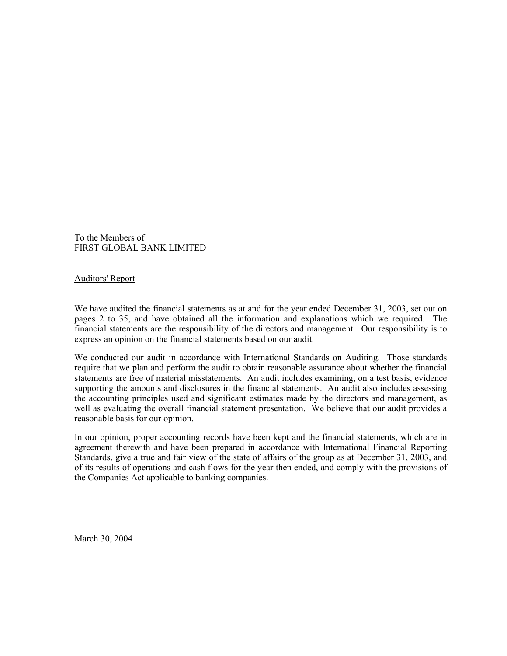To the Members of FIRST GLOBAL BANK LIMITED

Auditors' Report

We have audited the financial statements as at and for the year ended December 31, 2003, set out on pages 2 to 35, and have obtained all the information and explanations which we required. The financial statements are the responsibility of the directors and management. Our responsibility is to express an opinion on the financial statements based on our audit.

We conducted our audit in accordance with International Standards on Auditing. Those standards require that we plan and perform the audit to obtain reasonable assurance about whether the financial statements are free of material misstatements. An audit includes examining, on a test basis, evidence supporting the amounts and disclosures in the financial statements. An audit also includes assessing the accounting principles used and significant estimates made by the directors and management, as well as evaluating the overall financial statement presentation. We believe that our audit provides a reasonable basis for our opinion.

In our opinion, proper accounting records have been kept and the financial statements, which are in agreement therewith and have been prepared in accordance with International Financial Reporting Standards, give a true and fair view of the state of affairs of the group as at December 31, 2003, and of its results of operations and cash flows for the year then ended, and comply with the provisions of the Companies Act applicable to banking companies.

March 30, 2004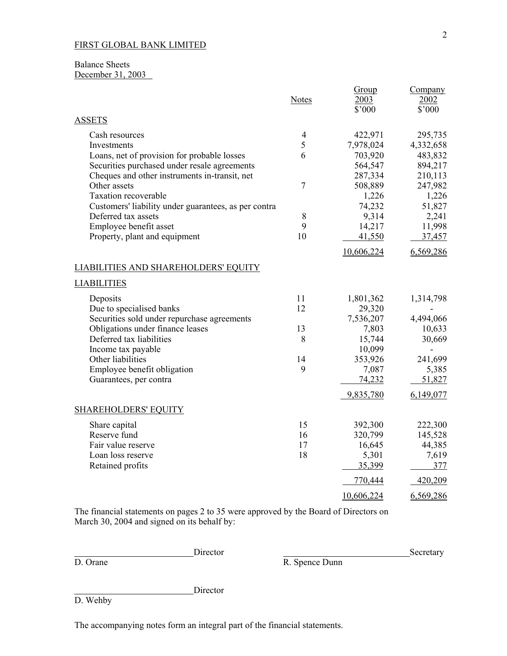## Balance Sheets December 31, 2003

|                                                         | <b>Notes</b>   | Group<br>2003<br>\$'000 | Company<br>2002<br>\$'000 |
|---------------------------------------------------------|----------------|-------------------------|---------------------------|
| <b>ASSETS</b>                                           |                |                         |                           |
| Cash resources                                          | $\overline{4}$ | 422,971                 | 295,735                   |
| Investments                                             | 5              | 7,978,024               | 4,332,658                 |
| Loans, net of provision for probable losses             | 6              | 703,920                 | 483,832                   |
| Securities purchased under resale agreements            |                | 564,547                 | 894,217                   |
| Cheques and other instruments in-transit, net           |                | 287,334                 | 210,113                   |
| Other assets                                            | $\overline{7}$ | 508,889                 | 247,982                   |
| <b>Taxation recoverable</b>                             |                | 1,226                   | 1,226                     |
| Customers' liability under guarantees, as per contra    |                | 74,232                  | 51,827                    |
| Deferred tax assets                                     | 8<br>9         | 9,314<br>14,217         | 2,241                     |
| Employee benefit asset<br>Property, plant and equipment | 10             | 41,550                  | 11,998<br>37,457          |
|                                                         |                | 10,606,224              | 6,569,286                 |
| <b>LIABILITIES AND SHAREHOLDERS' EQUITY</b>             |                |                         |                           |
| <b>LIABILITIES</b>                                      |                |                         |                           |
| Deposits                                                | 11             | 1,801,362               | 1,314,798                 |
| Due to specialised banks                                | 12             | 29,320                  |                           |
| Securities sold under repurchase agreements             |                | 7,536,207               | 4,494,066                 |
| Obligations under finance leases                        | 13             | 7,803                   | 10,633                    |
| Deferred tax liabilities                                | 8              | 15,744                  | 30,669                    |
| Income tax payable                                      |                | 10,099                  |                           |
| Other liabilities                                       | 14             | 353,926                 | 241,699                   |
| Employee benefit obligation                             | 9              | 7,087                   | 5,385                     |
| Guarantees, per contra                                  |                | 74,232                  | 51,827                    |
|                                                         |                | 9,835,780               | 6,149,077                 |
| <b>SHAREHOLDERS' EQUITY</b>                             |                |                         |                           |
| Share capital                                           | 15             | 392,300                 | 222,300                   |
| Reserve fund                                            | 16             | 320,799                 | 145,528                   |
| Fair value reserve                                      | 17             | 16,645                  | 44,385                    |
| Loan loss reserve                                       | 18             | 5,301                   | 7,619                     |
| Retained profits                                        |                | 35,399                  | 377                       |
|                                                         |                | 770,444                 | 420,209                   |
|                                                         |                | 10,606,224              | 6,569,286                 |

The financial statements on pages 2 to 35 were approved by the Board of Directors on March 30, 2004 and signed on its behalf by:

**Director** 

Director D. Orane Secretary Secretary Secretary Secretary Secretary Secretary Secretary Secretary Secretary Secretary Secretary Secretary Secretary Secretary Secretary Secretary Secretary Secretary Secretary Secretary Secr R. Spence Dunn

D. Wehby

The accompanying notes form an integral part of the financial statements.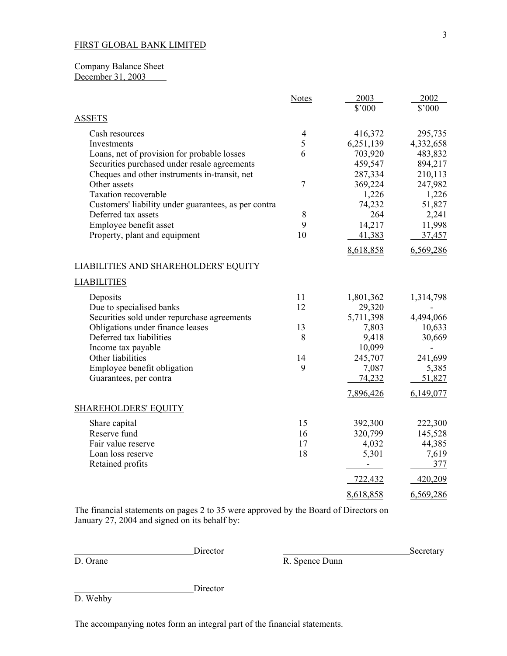## Company Balance Sheet December 31, 2003

|                                                      | <b>Notes</b>   | 2003           | 2002      |
|------------------------------------------------------|----------------|----------------|-----------|
|                                                      |                | \$'000         | \$'000    |
| <b>ASSETS</b>                                        |                |                |           |
| Cash resources                                       | $\overline{4}$ | 416,372        | 295,735   |
| Investments                                          | 5              | 6,251,139      | 4,332,658 |
| Loans, net of provision for probable losses          | 6              | 703,920        | 483,832   |
| Securities purchased under resale agreements         |                | 459,547        | 894,217   |
| Cheques and other instruments in-transit, net        |                | 287,334        | 210,113   |
| Other assets                                         | $\overline{7}$ | 369,224        | 247,982   |
| <b>Taxation recoverable</b>                          |                | 1,226          | 1,226     |
| Customers' liability under guarantees, as per contra |                | 74,232         | 51,827    |
| Deferred tax assets                                  | 8              | 264            | 2,241     |
| Employee benefit asset                               | 9              | 14,217         | 11,998    |
| Property, plant and equipment                        | 10             | 41,383         | 37,457    |
|                                                      |                | 8,618,858      | 6,569,286 |
| <b>LIABILITIES AND SHAREHOLDERS' EQUITY</b>          |                |                |           |
| <b>LIABILITIES</b>                                   |                |                |           |
| Deposits                                             | 11             | 1,801,362      | 1,314,798 |
| Due to specialised banks                             | 12             | 29,320         |           |
| Securities sold under repurchase agreements          |                | 5,711,398      | 4,494,066 |
| Obligations under finance leases                     | 13             | 7,803          | 10,633    |
| Deferred tax liabilities                             | 8              | 9,418          | 30,669    |
| Income tax payable                                   |                | 10,099         |           |
| Other liabilities                                    | 14             | 245,707        | 241,699   |
| Employee benefit obligation                          | 9              | 7,087          | 5,385     |
| Guarantees, per contra                               |                | 74,232         | 51,827    |
|                                                      |                | 7,896,426      | 6,149,077 |
| <b>SHAREHOLDERS' EQUITY</b>                          |                |                |           |
| Share capital                                        | 15             | 392,300        | 222,300   |
| Reserve fund                                         | 16             | 320,799        | 145,528   |
| Fair value reserve                                   | 17             | 4,032          | 44,385    |
| Loan loss reserve                                    | 18             | 5,301          | 7,619     |
| Retained profits                                     |                | $\blacksquare$ | 377       |
|                                                      |                | 722,432        | 420,209   |
|                                                      |                | 8,618,858      | 6,569,286 |

The financial statements on pages 2 to 35 were approved by the Board of Directors on January 27, 2004 and signed on its behalf by:

Director D. Orane Secretary Director R. Spence Dunn R. Spence Dunn

D. Wehby

The accompanying notes form an integral part of the financial statements.

Director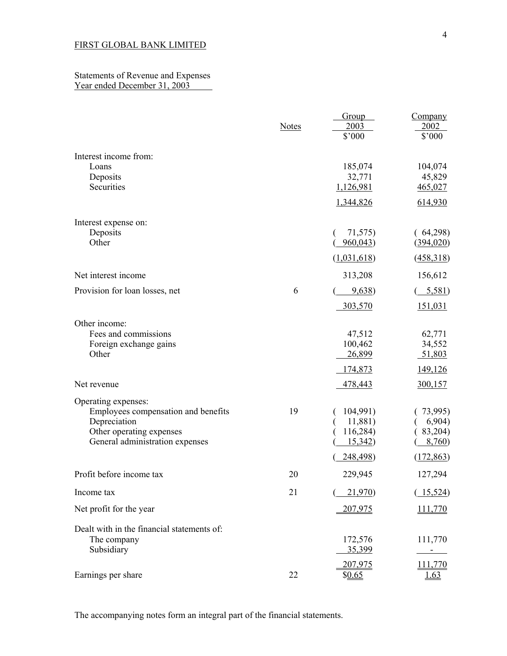### Statements of Revenue and Expenses Year ended December 31, 2003

|                                                                                                                                           | <b>Notes</b> | Group<br>2003<br>\$'000                                | Company<br>2002<br>\$'000                            |
|-------------------------------------------------------------------------------------------------------------------------------------------|--------------|--------------------------------------------------------|------------------------------------------------------|
| Interest income from:<br>Loans<br>Deposits<br>Securities                                                                                  |              | 185,074<br>32,771<br>1,126,981<br>1,344,826            | 104,074<br>45,829<br>465,027<br>614,930              |
| Interest expense on:<br>Deposits<br>Other                                                                                                 |              | 71,575)<br>960,043<br>(1,031,618)                      | (64,298)<br>(394, 020)<br>(458,318)                  |
| Net interest income                                                                                                                       |              | 313,208                                                | 156,612                                              |
| Provision for loan losses, net                                                                                                            | 6            | 9,638<br>303,570                                       | 5,581<br>151,031                                     |
| Other income:<br>Fees and commissions<br>Foreign exchange gains<br>Other                                                                  |              | 47,512<br>100,462<br>26,899<br>174,873                 | 62,771<br>34,552<br>51,803<br>149,126                |
| Net revenue                                                                                                                               |              | 478,443                                                | 300,157                                              |
| Operating expenses:<br>Employees compensation and benefits<br>Depreciation<br>Other operating expenses<br>General administration expenses | 19           | 104,991)<br>11,881)<br>116,284)<br>15,342)<br>248,498) | 73,995)<br>6,904)<br>83,204)<br>8,760)<br>(172, 863) |
| Profit before income tax                                                                                                                  | 20           | 229,945                                                | 127,294                                              |
| Income tax                                                                                                                                | 21           | 21,970)                                                | (15, 524)                                            |
| Net profit for the year                                                                                                                   |              | 207,975                                                | 111,770                                              |
| Dealt with in the financial statements of:<br>The company<br>Subsidiary                                                                   |              | 172,576<br>35,399<br>207,975                           | 111,770<br>111,770                                   |
| Earnings per share                                                                                                                        | 22           | \$0.65                                                 | <u>1.63</u>                                          |

The accompanying notes form an integral part of the financial statements.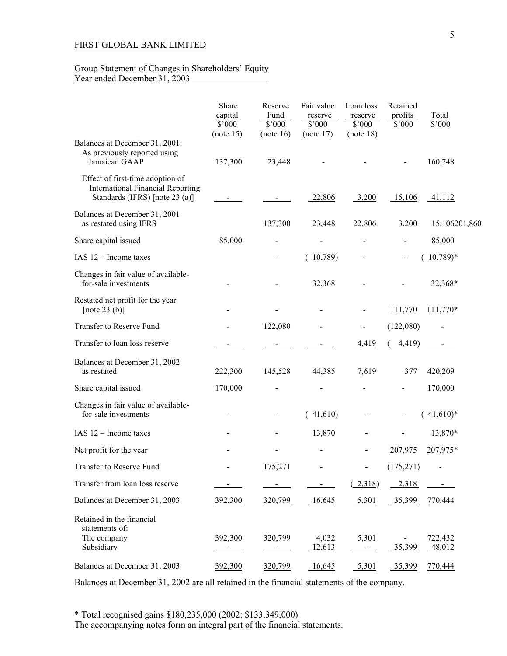### Group Statement of Changes in Shareholders' Equity Year ended December 31, 2003

|                                                                                                                | Share<br>capital<br>$$^{\circ}000$ | Reserve<br>Fund<br>$$^{\circ}000$ | Fair value<br>reserve<br>$$^{\circ}000$ | Loan loss<br>reserve<br>$$^{\circ}000$             | Retained<br>profits<br>\$'000 | Total<br>\$'000   |
|----------------------------------------------------------------------------------------------------------------|------------------------------------|-----------------------------------|-----------------------------------------|----------------------------------------------------|-------------------------------|-------------------|
| Balances at December 31, 2001:<br>As previously reported using<br>Jamaican GAAP                                | (note 15)<br>137,300               | (note 16)<br>23,448               | (note 17)                               | (note 18)                                          |                               | 160,748           |
| Effect of first-time adoption of<br><b>International Financial Reporting</b><br>Standards (IFRS) [note 23 (a)] |                                    |                                   | 22,806                                  | 3,200                                              | 15,106                        | 41,112            |
| Balances at December 31, 2001<br>as restated using IFRS                                                        |                                    | 137,300                           | 23,448                                  | 22,806                                             | 3,200                         | 15,106201,860     |
| Share capital issued                                                                                           | 85,000                             |                                   |                                         |                                                    |                               | 85,000            |
| IAS $12$ – Income taxes                                                                                        |                                    |                                   | (10,789)                                |                                                    |                               | $(10,789)*$       |
| Changes in fair value of available-<br>for-sale investments                                                    |                                    |                                   | 32,368                                  |                                                    |                               | 32,368*           |
| Restated net profit for the year<br>[note 23 $(b)$ ]                                                           |                                    |                                   |                                         |                                                    | 111,770                       | 111,770*          |
| Transfer to Reserve Fund                                                                                       |                                    | 122,080                           |                                         |                                                    | (122,080)                     |                   |
| Transfer to loan loss reserve                                                                                  |                                    |                                   |                                         | 4,419                                              | 4,419                         |                   |
| Balances at December 31, 2002<br>as restated                                                                   | 222,300                            | 145,528                           | 44,385                                  | 7,619                                              | 377                           | 420,209           |
| Share capital issued                                                                                           | 170,000                            |                                   |                                         |                                                    |                               | 170,000           |
| Changes in fair value of available-<br>for-sale investments                                                    |                                    |                                   | (41,610)                                |                                                    |                               | $(41,610)*$       |
| IAS $12$ – Income taxes                                                                                        |                                    |                                   | 13,870                                  |                                                    |                               | 13,870*           |
| Net profit for the year                                                                                        |                                    |                                   |                                         |                                                    | 207,975                       | 207,975*          |
| Transfer to Reserve Fund                                                                                       |                                    | 175,271                           |                                         |                                                    | (175, 271)                    |                   |
| Transfer from loan loss reserve                                                                                |                                    |                                   |                                         | (2,318)                                            | 2,318                         |                   |
| Balances at December 31, 2003                                                                                  | 392,300                            | 320,799                           | $-16,645$                               | 5,301                                              | 35,399                        | 770,444           |
| Retained in the financial<br>statements of:<br>The company<br>Subsidiary                                       | 392,300<br>$\sim$                  | 320,799<br>$\sigma_{\rm{max}}$    | 4,032<br>12,613                         | 5,301<br>$\alpha$ , $\alpha$ , $\alpha$ , $\alpha$ | 35,399                        | 722,432<br>48,012 |
| Balances at December 31, 2003                                                                                  | 392,300                            | 320,799                           | $-16,645$                               | $-5,301$                                           | 35,399                        | 770,444           |

Balances at December 31, 2002 are all retained in the financial statements of the company.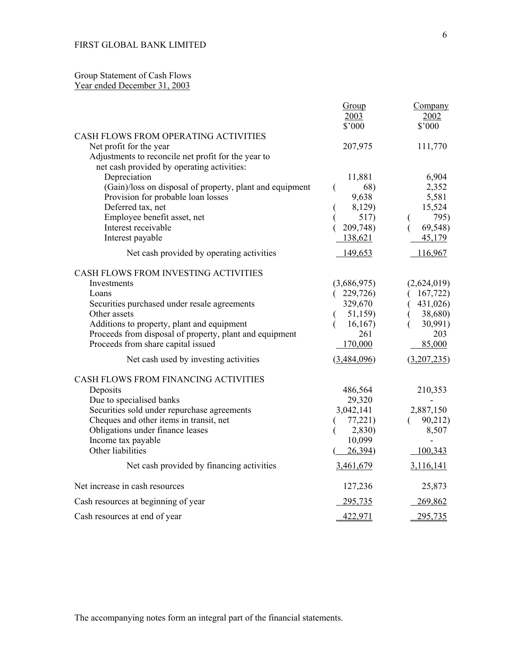## Group Statement of Cash Flows Year ended December 31, 2003

|                                                                                                                                                                                                                                                                                                                      | Group<br>2003                                                                               | Company<br>2002                                                                          |
|----------------------------------------------------------------------------------------------------------------------------------------------------------------------------------------------------------------------------------------------------------------------------------------------------------------------|---------------------------------------------------------------------------------------------|------------------------------------------------------------------------------------------|
|                                                                                                                                                                                                                                                                                                                      | \$'000                                                                                      | \$'000                                                                                   |
| CASH FLOWS FROM OPERATING ACTIVITIES<br>Net profit for the year<br>Adjustments to reconcile net profit for the year to                                                                                                                                                                                               | 207,975                                                                                     | 111,770                                                                                  |
| net cash provided by operating activities:<br>Depreciation<br>(Gain)/loss on disposal of property, plant and equipment<br>Provision for probable loan losses<br>Deferred tax, net<br>Employee benefit asset, net<br>Interest receivable<br>Interest payable<br>Net cash provided by operating activities             | 11,881<br>68)<br>€<br>9,638<br>8,129)<br>517)<br>209,748)<br>138,621<br>149,653             | 6,904<br>2,352<br>5,581<br>15,524<br>795)<br>69,548)<br>45,179<br>116,967                |
| CASH FLOWS FROM INVESTING ACTIVITIES<br>Investments<br>Loans<br>Securities purchased under resale agreements<br>Other assets<br>Additions to property, plant and equipment<br>Proceeds from disposal of property, plant and equipment<br>Proceeds from share capital issued<br>Net cash used by investing activities | (3,686,975)<br>(229,726)<br>329,670<br>51,159)<br>16, 167)<br>261<br>170,000<br>(3,484,096) | (2,624,019)<br>167,722<br>431,026)<br>38,680)<br>30,991)<br>203<br>85,000<br>(3,207,235) |
| CASH FLOWS FROM FINANCING ACTIVITIES<br>Deposits<br>Due to specialised banks<br>Securities sold under repurchase agreements<br>Cheques and other items in transit, net<br>Obligations under finance leases<br>Income tax payable<br>Other liabilities<br>Net cash provided by financing activities                   | 486,564<br>29,320<br>3,042,141<br>77,221)<br>2,830)<br>10,099<br>26,394)<br>3,461,679       | 210,353<br>2,887,150<br>90,212)<br>8,507<br>100,343<br>3,116,141                         |
| Net increase in cash resources                                                                                                                                                                                                                                                                                       | 127,236                                                                                     | 25,873                                                                                   |
| Cash resources at beginning of year                                                                                                                                                                                                                                                                                  | 295,735                                                                                     | 269,862                                                                                  |
| Cash resources at end of year                                                                                                                                                                                                                                                                                        | 422,971                                                                                     | 295,735                                                                                  |

The accompanying notes form an integral part of the financial statements.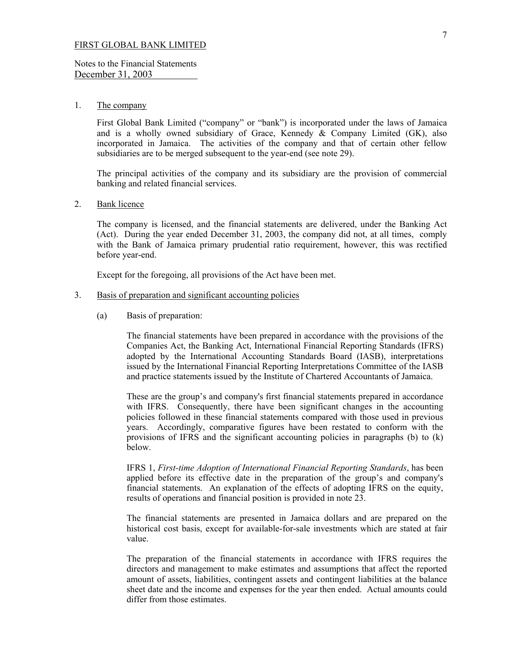Notes to the Financial Statements December 31, 2003

#### 1. The company

 First Global Bank Limited ("company" or "bank") is incorporated under the laws of Jamaica and is a wholly owned subsidiary of Grace, Kennedy & Company Limited (GK), also incorporated in Jamaica. The activities of the company and that of certain other fellow subsidiaries are to be merged subsequent to the year-end (see note 29).

The principal activities of the company and its subsidiary are the provision of commercial banking and related financial services.

#### 2. Bank licence

 The company is licensed, and the financial statements are delivered, under the Banking Act (Act). During the year ended December 31, 2003, the company did not, at all times, comply with the Bank of Jamaica primary prudential ratio requirement, however, this was rectified before year-end.

Except for the foregoing, all provisions of the Act have been met.

#### 3. Basis of preparation and significant accounting policies

(a) Basis of preparation:

 The financial statements have been prepared in accordance with the provisions of the Companies Act, the Banking Act, International Financial Reporting Standards (IFRS) adopted by the International Accounting Standards Board (IASB), interpretations issued by the International Financial Reporting Interpretations Committee of the IASB and practice statements issued by the Institute of Chartered Accountants of Jamaica.

These are the group's and company's first financial statements prepared in accordance with IFRS. Consequently, there have been significant changes in the accounting policies followed in these financial statements compared with those used in previous years. Accordingly, comparative figures have been restated to conform with the provisions of IFRS and the significant accounting policies in paragraphs (b) to (k) below.

IFRS 1, *First-time Adoption of International Financial Reporting Standards*, has been applied before its effective date in the preparation of the group's and company's financial statements. An explanation of the effects of adopting IFRS on the equity, results of operations and financial position is provided in note 23.

The financial statements are presented in Jamaica dollars and are prepared on the historical cost basis, except for available-for-sale investments which are stated at fair value.

The preparation of the financial statements in accordance with IFRS requires the directors and management to make estimates and assumptions that affect the reported amount of assets, liabilities, contingent assets and contingent liabilities at the balance sheet date and the income and expenses for the year then ended. Actual amounts could differ from those estimates.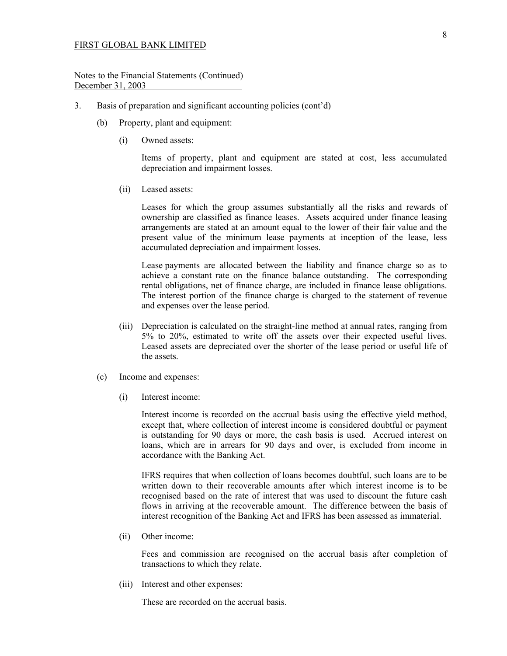Notes to the Financial Statements (Continued) December 31, 2003

- 3. Basis of preparation and significant accounting policies (cont'd)
	- (b) Property, plant and equipment:
		- (i) Owned assets:

 Items of property, plant and equipment are stated at cost, less accumulated depreciation and impairment losses.

(ii) Leased assets:

 Leases for which the group assumes substantially all the risks and rewards of ownership are classified as finance leases. Assets acquired under finance leasing arrangements are stated at an amount equal to the lower of their fair value and the present value of the minimum lease payments at inception of the lease, less accumulated depreciation and impairment losses.

 Lease payments are allocated between the liability and finance charge so as to achieve a constant rate on the finance balance outstanding. The corresponding rental obligations, net of finance charge, are included in finance lease obligations. The interest portion of the finance charge is charged to the statement of revenue and expenses over the lease period.

- (iii) Depreciation is calculated on the straight-line method at annual rates, ranging from 5% to 20%, estimated to write off the assets over their expected useful lives. Leased assets are depreciated over the shorter of the lease period or useful life of the assets.
- (c) Income and expenses:
	- (i) Interest income:

 Interest income is recorded on the accrual basis using the effective yield method, except that, where collection of interest income is considered doubtful or payment is outstanding for 90 days or more, the cash basis is used. Accrued interest on loans, which are in arrears for 90 days and over, is excluded from income in accordance with the Banking Act.

 IFRS requires that when collection of loans becomes doubtful, such loans are to be written down to their recoverable amounts after which interest income is to be recognised based on the rate of interest that was used to discount the future cash flows in arriving at the recoverable amount. The difference between the basis of interest recognition of the Banking Act and IFRS has been assessed as immaterial.

(ii) Other income:

Fees and commission are recognised on the accrual basis after completion of transactions to which they relate.

(iii) Interest and other expenses:

These are recorded on the accrual basis.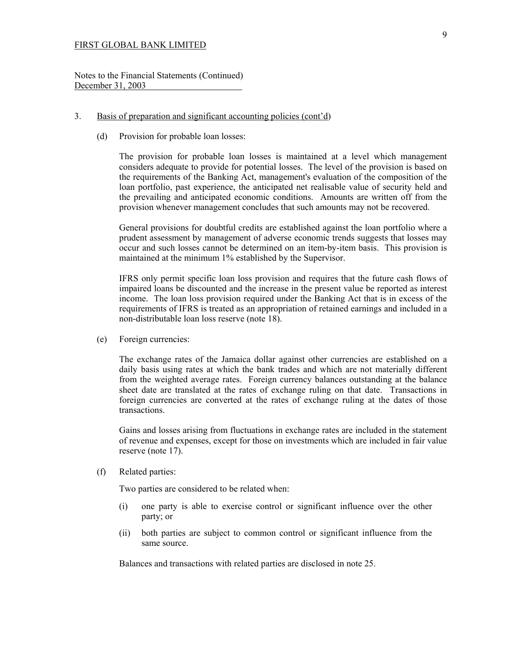Notes to the Financial Statements (Continued) December 31, 2003

#### 3. Basis of preparation and significant accounting policies (cont'd)

(d) Provision for probable loan losses:

 The provision for probable loan losses is maintained at a level which management considers adequate to provide for potential losses. The level of the provision is based on the requirements of the Banking Act, management's evaluation of the composition of the loan portfolio, past experience, the anticipated net realisable value of security held and the prevailing and anticipated economic conditions. Amounts are written off from the provision whenever management concludes that such amounts may not be recovered.

 General provisions for doubtful credits are established against the loan portfolio where a prudent assessment by management of adverse economic trends suggests that losses may occur and such losses cannot be determined on an item-by-item basis. This provision is maintained at the minimum 1% established by the Supervisor.

 IFRS only permit specific loan loss provision and requires that the future cash flows of impaired loans be discounted and the increase in the present value be reported as interest income. The loan loss provision required under the Banking Act that is in excess of the requirements of IFRS is treated as an appropriation of retained earnings and included in a non-distributable loan loss reserve (note 18).

(e) Foreign currencies:

 The exchange rates of the Jamaica dollar against other currencies are established on a daily basis using rates at which the bank trades and which are not materially different from the weighted average rates. Foreign currency balances outstanding at the balance sheet date are translated at the rates of exchange ruling on that date. Transactions in foreign currencies are converted at the rates of exchange ruling at the dates of those transactions.

 Gains and losses arising from fluctuations in exchange rates are included in the statement of revenue and expenses, except for those on investments which are included in fair value reserve (note 17).

(f) Related parties:

Two parties are considered to be related when:

- (i) one party is able to exercise control or significant influence over the other party; or
- (ii) both parties are subject to common control or significant influence from the same source.

Balances and transactions with related parties are disclosed in note 25.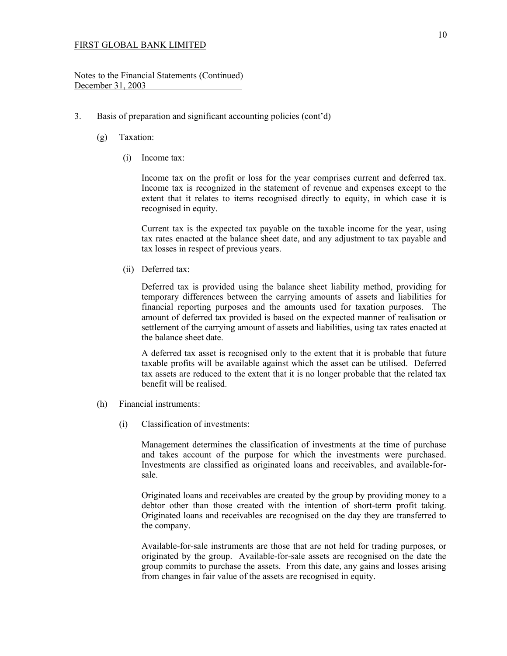Notes to the Financial Statements (Continued) December 31, 2003

### 3. Basis of preparation and significant accounting policies (cont'd)

- (g) Taxation:
	- (i) Income tax:

 Income tax on the profit or loss for the year comprises current and deferred tax. Income tax is recognized in the statement of revenue and expenses except to the extent that it relates to items recognised directly to equity, in which case it is recognised in equity.

 Current tax is the expected tax payable on the taxable income for the year, using tax rates enacted at the balance sheet date, and any adjustment to tax payable and tax losses in respect of previous years.

(ii) Deferred tax:

 Deferred tax is provided using the balance sheet liability method, providing for temporary differences between the carrying amounts of assets and liabilities for financial reporting purposes and the amounts used for taxation purposes. The amount of deferred tax provided is based on the expected manner of realisation or settlement of the carrying amount of assets and liabilities, using tax rates enacted at the balance sheet date.

A deferred tax asset is recognised only to the extent that it is probable that future taxable profits will be available against which the asset can be utilised. Deferred tax assets are reduced to the extent that it is no longer probable that the related tax benefit will be realised.

- (h) Financial instruments:
	- (i) Classification of investments:

 Management determines the classification of investments at the time of purchase and takes account of the purpose for which the investments were purchased. Investments are classified as originated loans and receivables, and available-forsale.

 Originated loans and receivables are created by the group by providing money to a debtor other than those created with the intention of short-term profit taking. Originated loans and receivables are recognised on the day they are transferred to the company.

 Available-for-sale instruments are those that are not held for trading purposes, or originated by the group. Available-for-sale assets are recognised on the date the group commits to purchase the assets. From this date, any gains and losses arising from changes in fair value of the assets are recognised in equity.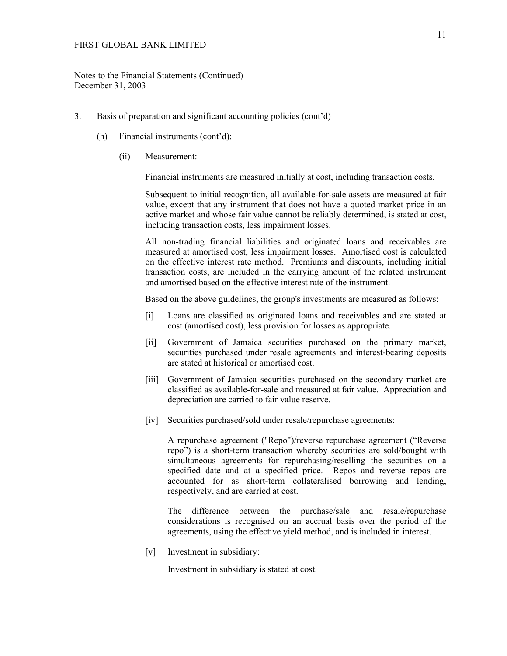Notes to the Financial Statements (Continued) December 31, 2003

- 3. Basis of preparation and significant accounting policies (cont'd)
	- (h) Financial instruments (cont'd):
		- (ii) Measurement:

Financial instruments are measured initially at cost, including transaction costs.

 Subsequent to initial recognition, all available-for-sale assets are measured at fair value, except that any instrument that does not have a quoted market price in an active market and whose fair value cannot be reliably determined, is stated at cost, including transaction costs, less impairment losses.

 All non-trading financial liabilities and originated loans and receivables are measured at amortised cost, less impairment losses. Amortised cost is calculated on the effective interest rate method. Premiums and discounts, including initial transaction costs, are included in the carrying amount of the related instrument and amortised based on the effective interest rate of the instrument.

Based on the above guidelines, the group's investments are measured as follows:

- [i] Loans are classified as originated loans and receivables and are stated at cost (amortised cost), less provision for losses as appropriate.
- [ii] Government of Jamaica securities purchased on the primary market, securities purchased under resale agreements and interest-bearing deposits are stated at historical or amortised cost.
- [iii] Government of Jamaica securities purchased on the secondary market are classified as available-for-sale and measured at fair value. Appreciation and depreciation are carried to fair value reserve.
- [iv] Securities purchased/sold under resale/repurchase agreements:

 A repurchase agreement ("Repo")/reverse repurchase agreement ("Reverse repo") is a short-term transaction whereby securities are sold/bought with simultaneous agreements for repurchasing/reselling the securities on a specified date and at a specified price. Repos and reverse repos are accounted for as short-term collateralised borrowing and lending, respectively, and are carried at cost.

 The difference between the purchase/sale and resale/repurchase considerations is recognised on an accrual basis over the period of the agreements, using the effective yield method, and is included in interest.

[v] Investment in subsidiary:

Investment in subsidiary is stated at cost.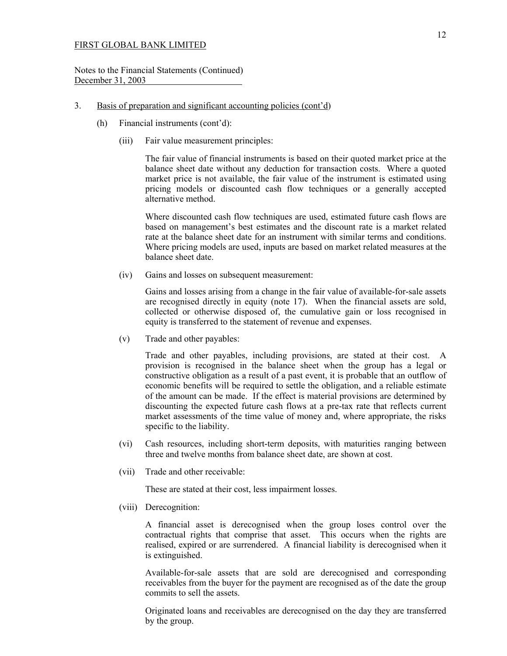#### Notes to the Financial Statements (Continued) December 31, 2003

### 3. Basis of preparation and significant accounting policies (cont'd)

- (h) Financial instruments (cont'd):
	- (iii) Fair value measurement principles:

 The fair value of financial instruments is based on their quoted market price at the balance sheet date without any deduction for transaction costs. Where a quoted market price is not available, the fair value of the instrument is estimated using pricing models or discounted cash flow techniques or a generally accepted alternative method.

 Where discounted cash flow techniques are used, estimated future cash flows are based on management's best estimates and the discount rate is a market related rate at the balance sheet date for an instrument with similar terms and conditions. Where pricing models are used, inputs are based on market related measures at the balance sheet date.

(iv) Gains and losses on subsequent measurement:

 Gains and losses arising from a change in the fair value of available-for-sale assets are recognised directly in equity (note 17). When the financial assets are sold, collected or otherwise disposed of, the cumulative gain or loss recognised in equity is transferred to the statement of revenue and expenses.

(v) Trade and other payables:

Trade and other payables, including provisions, are stated at their cost. A provision is recognised in the balance sheet when the group has a legal or constructive obligation as a result of a past event, it is probable that an outflow of economic benefits will be required to settle the obligation, and a reliable estimate of the amount can be made. If the effect is material provisions are determined by discounting the expected future cash flows at a pre-tax rate that reflects current market assessments of the time value of money and, where appropriate, the risks specific to the liability.

- (vi) Cash resources, including short-term deposits, with maturities ranging between three and twelve months from balance sheet date, are shown at cost.
- (vii) Trade and other receivable:

These are stated at their cost, less impairment losses.

(viii) Derecognition:

 A financial asset is derecognised when the group loses control over the contractual rights that comprise that asset. This occurs when the rights are realised, expired or are surrendered. A financial liability is derecognised when it is extinguished.

 Available-for-sale assets that are sold are derecognised and corresponding receivables from the buyer for the payment are recognised as of the date the group commits to sell the assets.

 Originated loans and receivables are derecognised on the day they are transferred by the group.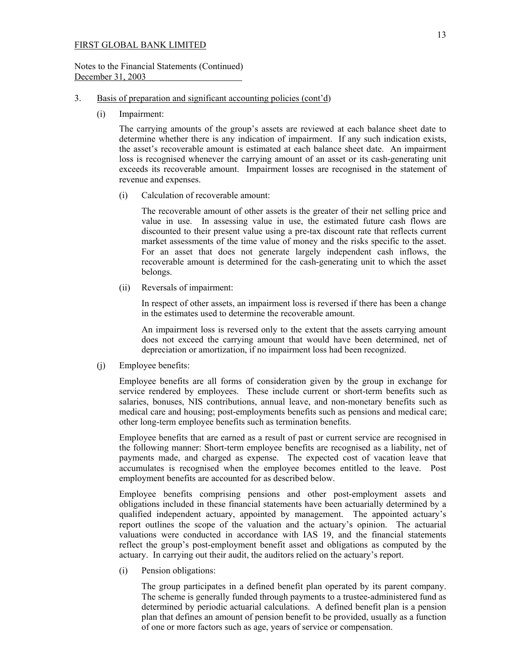#### Notes to the Financial Statements (Continued) December 31, 2003

#### 3. Basis of preparation and significant accounting policies (cont'd)

(i) Impairment:

The carrying amounts of the group's assets are reviewed at each balance sheet date to determine whether there is any indication of impairment. If any such indication exists, the asset's recoverable amount is estimated at each balance sheet date. An impairment loss is recognised whenever the carrying amount of an asset or its cash-generating unit exceeds its recoverable amount. Impairment losses are recognised in the statement of revenue and expenses.

(i) Calculation of recoverable amount:

The recoverable amount of other assets is the greater of their net selling price and value in use. In assessing value in use, the estimated future cash flows are discounted to their present value using a pre-tax discount rate that reflects current market assessments of the time value of money and the risks specific to the asset. For an asset that does not generate largely independent cash inflows, the recoverable amount is determined for the cash-generating unit to which the asset belongs.

(ii) Reversals of impairment:

 In respect of other assets, an impairment loss is reversed if there has been a change in the estimates used to determine the recoverable amount.

 An impairment loss is reversed only to the extent that the assets carrying amount does not exceed the carrying amount that would have been determined, net of depreciation or amortization, if no impairment loss had been recognized.

(j) Employee benefits:

 Employee benefits are all forms of consideration given by the group in exchange for service rendered by employees. These include current or short-term benefits such as salaries, bonuses, NIS contributions, annual leave, and non-monetary benefits such as medical care and housing; post-employments benefits such as pensions and medical care; other long-term employee benefits such as termination benefits.

Employee benefits that are earned as a result of past or current service are recognised in the following manner: Short-term employee benefits are recognised as a liability, net of payments made, and charged as expense. The expected cost of vacation leave that accumulates is recognised when the employee becomes entitled to the leave. Post employment benefits are accounted for as described below.

Employee benefits comprising pensions and other post-employment assets and obligations included in these financial statements have been actuarially determined by a qualified independent actuary, appointed by management. The appointed actuary's report outlines the scope of the valuation and the actuary's opinion. The actuarial valuations were conducted in accordance with IAS 19, and the financial statements reflect the group's post-employment benefit asset and obligations as computed by the actuary. In carrying out their audit, the auditors relied on the actuary's report.

(i) Pension obligations:

 The group participates in a defined benefit plan operated by its parent company. The scheme is generally funded through payments to a trustee-administered fund as determined by periodic actuarial calculations. A defined benefit plan is a pension plan that defines an amount of pension benefit to be provided, usually as a function of one or more factors such as age, years of service or compensation.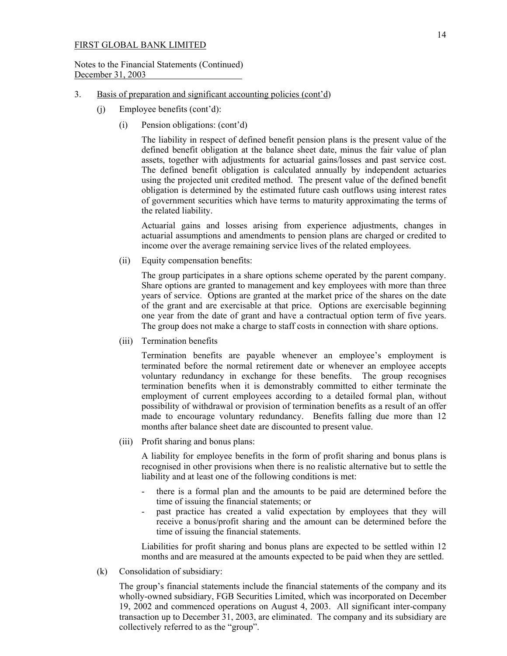### Notes to the Financial Statements (Continued) December 31, 2003

- 3. Basis of preparation and significant accounting policies (cont'd)
	- (j) Employee benefits (cont'd):
		- (i) Pension obligations: (cont'd)

 The liability in respect of defined benefit pension plans is the present value of the defined benefit obligation at the balance sheet date, minus the fair value of plan assets, together with adjustments for actuarial gains/losses and past service cost. The defined benefit obligation is calculated annually by independent actuaries using the projected unit credited method. The present value of the defined benefit obligation is determined by the estimated future cash outflows using interest rates of government securities which have terms to maturity approximating the terms of the related liability.

 Actuarial gains and losses arising from experience adjustments, changes in actuarial assumptions and amendments to pension plans are charged or credited to income over the average remaining service lives of the related employees.

(ii) Equity compensation benefits:

The group participates in a share options scheme operated by the parent company. Share options are granted to management and key employees with more than three years of service. Options are granted at the market price of the shares on the date of the grant and are exercisable at that price. Options are exercisable beginning one year from the date of grant and have a contractual option term of five years. The group does not make a charge to staff costs in connection with share options.

(iii) Termination benefits

Termination benefits are payable whenever an employee's employment is terminated before the normal retirement date or whenever an employee accepts voluntary redundancy in exchange for these benefits. The group recognises termination benefits when it is demonstrably committed to either terminate the employment of current employees according to a detailed formal plan, without possibility of withdrawal or provision of termination benefits as a result of an offer made to encourage voluntary redundancy. Benefits falling due more than 12 months after balance sheet date are discounted to present value.

(iii) Profit sharing and bonus plans:

A liability for employee benefits in the form of profit sharing and bonus plans is recognised in other provisions when there is no realistic alternative but to settle the liability and at least one of the following conditions is met:

- there is a formal plan and the amounts to be paid are determined before the time of issuing the financial statements; or
- past practice has created a valid expectation by employees that they will receive a bonus/profit sharing and the amount can be determined before the time of issuing the financial statements.

Liabilities for profit sharing and bonus plans are expected to be settled within 12 months and are measured at the amounts expected to be paid when they are settled.

(k) Consolidation of subsidiary:

The group's financial statements include the financial statements of the company and its wholly-owned subsidiary, FGB Securities Limited, which was incorporated on December 19, 2002 and commenced operations on August 4, 2003. All significant inter-company transaction up to December 31, 2003, are eliminated. The company and its subsidiary are collectively referred to as the "group".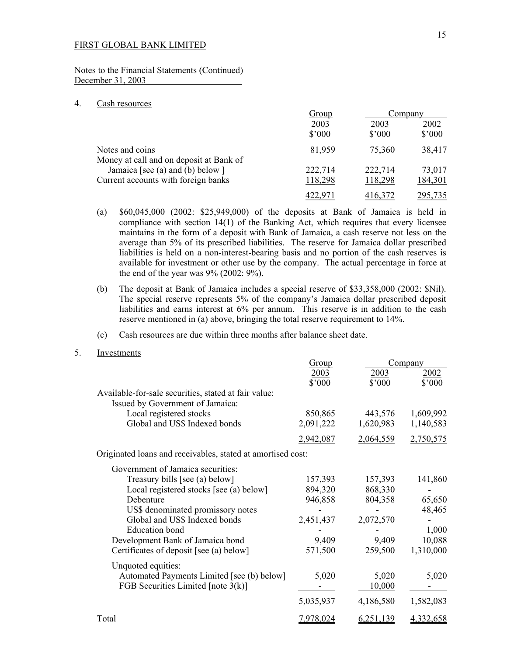Notes to the Financial Statements (Continued) December 31, 2003

#### 4. Cash resources

|                                                                         | <u>Group</u>       | Company                |                         |
|-------------------------------------------------------------------------|--------------------|------------------------|-------------------------|
|                                                                         | 2003<br>\$'000     | 2003<br>$$^{\circ}000$ | 2002<br>$$^{\prime}000$ |
| Notes and coins                                                         | 81,959             | 75,360                 | 38,417                  |
| Money at call and on deposit at Bank of                                 |                    |                        |                         |
| Jamaica [see (a) and (b) below ]<br>Current accounts with foreign banks | 222,714<br>118,298 | 222,714<br>118,298     | 73,017<br>184,301       |
|                                                                         |                    |                        |                         |

- (a) \$60,045,000 (2002: \$25,949,000) of the deposits at Bank of Jamaica is held in compliance with section 14(1) of the Banking Act, which requires that every licensee maintains in the form of a deposit with Bank of Jamaica, a cash reserve not less on the average than 5% of its prescribed liabilities. The reserve for Jamaica dollar prescribed liabilities is held on a non-interest-bearing basis and no portion of the cash reserves is available for investment or other use by the company. The actual percentage in force at the end of the year was 9% (2002: 9%).
- (b) The deposit at Bank of Jamaica includes a special reserve of \$33,358,000 (2002: \$Nil). The special reserve represents 5% of the company's Jamaica dollar prescribed deposit liabilities and earns interest at 6% per annum. This reserve is in addition to the cash reserve mentioned in (a) above, bringing the total reserve requirement to 14%.

#### (c) Cash resources are due within three months after balance sheet date.

5. Investments

|                                                                                          | Group     | Company   |           |
|------------------------------------------------------------------------------------------|-----------|-----------|-----------|
|                                                                                          | 2003      | 2003      | 2002      |
|                                                                                          | \$'000    | \$'000    | \$'000    |
| Available-for-sale securities, stated at fair value:<br>Issued by Government of Jamaica: |           |           |           |
| Local registered stocks                                                                  | 850,865   | 443,576   | 1,609,992 |
| Global and US\$ Indexed bonds                                                            | 2,091,222 | 1,620,983 | 1,140,583 |
|                                                                                          | 2,942,087 | 2,064,559 | 2,750,575 |
| Originated loans and receivables, stated at amortised cost:                              |           |           |           |
| Government of Jamaica securities:                                                        |           |           |           |
| Treasury bills [see (a) below]                                                           | 157,393   | 157,393   | 141,860   |
| Local registered stocks [see (a) below]                                                  | 894,320   | 868,330   |           |
| Debenture                                                                                | 946,858   | 804,358   | 65,650    |
| US\$ denominated promissory notes                                                        |           |           | 48,465    |
| Global and US\$ Indexed bonds                                                            | 2,451,437 | 2,072,570 |           |
| <b>Education</b> bond                                                                    |           |           | 1,000     |
| Development Bank of Jamaica bond                                                         | 9,409     | 9,409     | 10,088    |
| Certificates of deposit [see (a) below]                                                  | 571,500   | 259,500   | 1,310,000 |
| Unquoted equities:                                                                       |           |           |           |
| Automated Payments Limited [see (b) below]                                               | 5,020     | 5,020     | 5,020     |
| FGB Securities Limited [note $3(k)$ ]                                                    |           | 10,000    |           |
|                                                                                          | 5,035,937 | 4,186,580 | 1,582,083 |
| Total                                                                                    | 7,978,024 | 6,251,139 | 4,332,658 |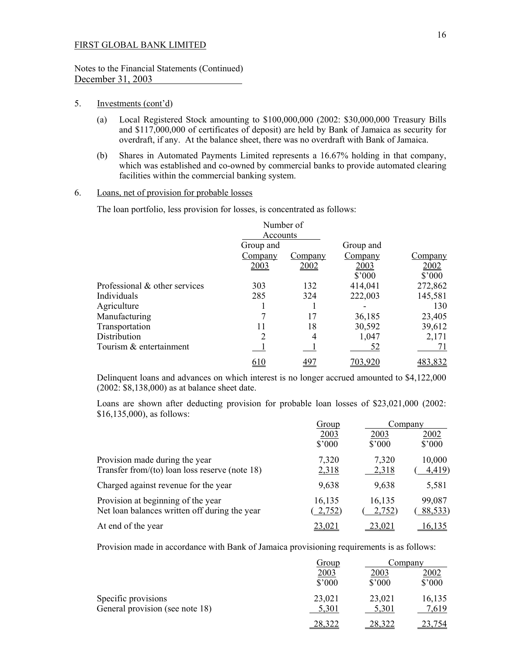## Notes to the Financial Statements (Continued) December 31, 2003

#### 5. Investments (cont'd)

- (a) Local Registered Stock amounting to \$100,000,000 (2002: \$30,000,000 Treasury Bills and \$117,000,000 of certificates of deposit) are held by Bank of Jamaica as security for overdraft, if any. At the balance sheet, there was no overdraft with Bank of Jamaica.
- (b) Shares in Automated Payments Limited represents a 16.67% holding in that company, which was established and co-owned by commercial banks to provide automated clearing facilities within the commercial banking system.

## 6. Loans, net of provision for probable losses

The loan portfolio, less provision for losses, is concentrated as follows:

|                               | Number of |         |                |                 |
|-------------------------------|-----------|---------|----------------|-----------------|
|                               | Accounts  |         |                |                 |
|                               | Group and |         | Group and      |                 |
|                               | Company   | Company | Company        | Company         |
|                               | 2003      | 2002    | 2003           | 2002            |
|                               |           |         | $$^{\circ}000$ | $$^{\prime}000$ |
| Professional & other services | 303       | 132     | 414,041        | 272,862         |
| Individuals                   | 285       | 324     | 222,003        | 145,581         |
| Agriculture                   |           |         |                | 130             |
| Manufacturing                 |           | 17      | 36,185         | 23,405          |
| Transportation                |           | 18      | 30,592         | 39,612          |
| Distribution                  |           | 4       | 1,047          | 2,171           |
| Tourism & entertainment       |           |         | 52             |                 |
|                               |           | 49.     |                | 483.832         |

 Delinquent loans and advances on which interest is no longer accrued amounted to \$4,122,000 (2002: \$8,138,000) as at balance sheet date.

 Loans are shown after deducting provision for probable loan losses of \$23,021,000 (2002: \$16,135,000), as follows:

|                                                   | <u>Group</u> | Company        |                 |  |
|---------------------------------------------------|--------------|----------------|-----------------|--|
|                                                   | 2003         | 2003           | 2002            |  |
|                                                   | \$7000       | $$^{\circ}000$ | $$^{\prime}000$ |  |
| Provision made during the year                    | 7,320        | 7,320          | 10,000          |  |
| Transfer from/(to) loan loss reserve (note $18$ ) | 2,318        | 2,318          | 4,419           |  |
| Charged against revenue for the year              | 9,638        | 9,638          | 5,581           |  |
| Provision at beginning of the year                | 16,135       | 16,135         | 99,087          |  |
| Net loan balances written off during the year     | 2,752)       | 2,752)         | <u>88,533</u> ) |  |
| At end of the year                                | 23,021       | <u>23,021</u>  | <u>16.135</u>   |  |

Provision made in accordance with Bank of Jamaica provisioning requirements is as follows:

|                                 | <b>Group</b>    | Company         |                 |
|---------------------------------|-----------------|-----------------|-----------------|
|                                 | 2003            | 2003            | 2002            |
|                                 | $$^{\prime}000$ | $$^{\prime}000$ | $$^{\prime}000$ |
| Specific provisions             | 23,021          | 23,021          | 16,135          |
| General provision (see note 18) | 5,301           | 5,301           | 7,619           |
|                                 | าจ วา           | <u>28,322</u>   | 23.754          |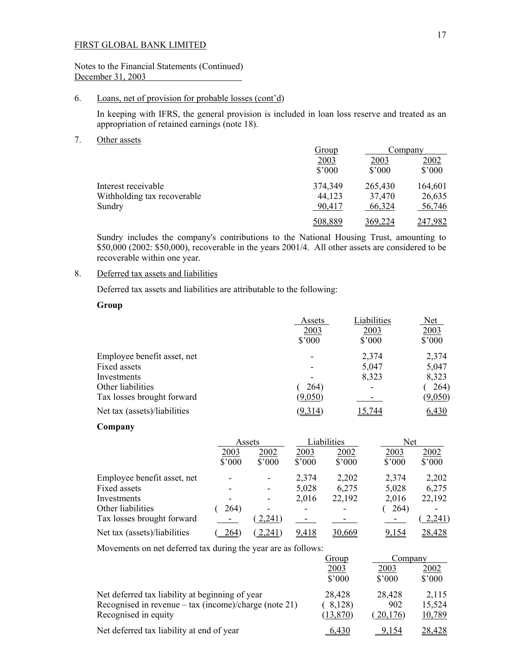## Notes to the Financial Statements (Continued) December 31, 2003

## 6. Loans, net of provision for probable losses (cont'd)

 In keeping with IFRS, the general provision is included in loan loss reserve and treated as an appropriation of retained earnings (note 18).

#### 7. Other assets

|                             | Group           |                 | Company         |  |
|-----------------------------|-----------------|-----------------|-----------------|--|
|                             | 2003            | 2003            | 2002            |  |
|                             | $$^{\prime}000$ | $$^{\prime}000$ | $$^{\prime}000$ |  |
| Interest receivable         | 374,349         | 265,430         | 164,601         |  |
| Withholding tax recoverable | 44,123          | 37,470          | 26,635          |  |
| Sundry                      | 90,417          | 66,324          | 56,746          |  |
|                             | 508,889         | 369,224         | 247,982         |  |

 Sundry includes the company's contributions to the National Housing Trust, amounting to \$50,000 (2002: \$50,000), recoverable in the years 2001/4. All other assets are considered to be recoverable within one year.

## 8. Deferred tax assets and liabilities

Deferred tax assets and liabilities are attributable to the following:

## **Group**

|                              | Assets          | Liabilities    | <b>Net</b>     |
|------------------------------|-----------------|----------------|----------------|
|                              | 2003            | 2003           | 2003           |
|                              | $$^{\prime}000$ | $$^{\circ}000$ | \$'000         |
| Employee benefit asset, net  |                 | 2,374          | 2,374          |
| Fixed assets                 |                 | 5,047          | 5,047          |
| Investments                  |                 | 8,323          | 8,323          |
| Other liabilities            | 264)            |                | 264)           |
| Tax losses brought forward   | (9,050)         |                | <u>(9,050)</u> |
| Net tax (assets)/liabilities | (9,314)         | 5.744          | 6,430          |

#### **Company**

|                              |                          | Assets |                | Liabilities    | Net            |        |
|------------------------------|--------------------------|--------|----------------|----------------|----------------|--------|
|                              | 2003                     | 2002   | 2003           | 2002           | 2003           | 2002   |
|                              | $$^{\circ}000$           | \$'000 | $$^{\circ}000$ | $$^{\circ}000$ | $$^{\circ}000$ | \$'000 |
| Employee benefit asset, net  |                          | ۰      | 2,374          | 2,202          | 2,374          | 2,202  |
| Fixed assets                 |                          | -      | 5,028          | 6,275          | 5,028          | 6,275  |
| Investments                  | $\overline{\phantom{0}}$ | -      | 2,016          | 22,192         | 2,016          | 22,192 |
| Other liabilities            | 264)                     | -      |                | -              | 264)           |        |
| Tax losses brought forward   |                          | 2,241) |                |                |                | 2,241  |
| Net tax (assets)/liabilities | 264                      | 2,241  | 9,418          | 30,669         | 9.154          | 28,428 |

Movements on net deferred tax during the year are as follows:

|                                                                | <u>Group</u> | Company        |        |
|----------------------------------------------------------------|--------------|----------------|--------|
|                                                                | 2003         | 2003           | 2002   |
|                                                                | \$'000       | $$^{\circ}000$ | \$'000 |
| Net deferred tax liability at beginning of year                | 28,428       | 28,428         | 2,115  |
| Recognised in revenue – $\text{tax}$ (income)/charge (note 21) | 8,128        | 902            | 15,524 |
| Recognised in equity                                           | (13, 870)    | 20,176         | 10,789 |
| Net deferred tax liability at end of year                      | 6.430        | 9.154          | 28,428 |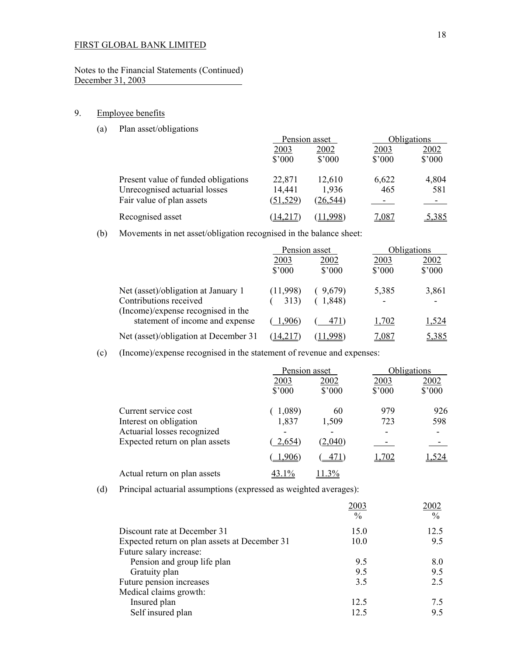## Notes to the Financial Statements (Continued) December 31, 2003

# 9. Employee benefits

(a) Plan asset/obligations

|                                     | Pension asset   |                | <b>Obligations</b> |                 |
|-------------------------------------|-----------------|----------------|--------------------|-----------------|
|                                     | 2003            | 2002           | 2003               | 2002            |
|                                     | $$^{\prime}000$ | $$^{\circ}000$ | $$^{\prime}000$    | $$^{\prime}000$ |
| Present value of funded obligations | 22,871          | 12,610         | 6,622              | 4,804           |
| Unrecognised actuarial losses       | 14,441          | 1,936          | 465                | 581             |
| Fair value of plan assets           | (51, 529)       | (26, 544)      |                    |                 |
| Recognised asset                    | 14,217          | $.998^{\circ}$ | 7,087              | 5,385           |

(b) Movements in net asset/obligation recognised in the balance sheet:

|                                                              | Pension asset           |                         | Obligations             |                         |
|--------------------------------------------------------------|-------------------------|-------------------------|-------------------------|-------------------------|
|                                                              | 2003<br>$$^{\prime}000$ | 2002<br>$$^{\prime}000$ | 2003<br>$$^{\prime}000$ | 2002<br>$$^{\prime}000$ |
| Net (asset)/obligation at January 1                          | (11,998)                | 9,679)                  | 5,385                   | 3,861                   |
| Contributions received<br>(Income)/expense recognised in the | 313)                    | 1,848)                  |                         |                         |
| statement of income and expense                              | 1,906)                  | 471)                    | 1,702                   | 1,524                   |
| Net (asset)/obligation at December 31                        | 14,217                  | 1.998                   | 7,087                   | 5,385                   |

(c) (Income)/expense recognised in the statement of revenue and expenses:

|                                                       | Pension asset           |                        |                | Obligations            |  |
|-------------------------------------------------------|-------------------------|------------------------|----------------|------------------------|--|
|                                                       | 2003<br>$$^{\prime}000$ | 2002<br>$$^{\circ}000$ | 2003<br>\$'000 | 2002<br>$$^{\circ}000$ |  |
| Current service cost                                  | 1,089)                  | 60                     | 979            | 926                    |  |
| Interest on obligation<br>Actuarial losses recognized | 1,837                   | 1,509                  | 723            | 598                    |  |
| Expected return on plan assets                        | 2,654)                  | (2,040)                |                | ۰                      |  |
|                                                       | 1,906)                  | 471                    | 1,702          | .524                   |  |
| Actual return on plan assets                          | 43.1%                   | $1.3\%$                |                |                        |  |

(d) Principal actuarial assumptions (expressed as weighted averages):

|                                               | 2003 | 2002          |
|-----------------------------------------------|------|---------------|
|                                               | $\%$ | $\frac{0}{0}$ |
| Discount rate at December 31                  | 15.0 | 12.5          |
| Expected return on plan assets at December 31 | 10.0 | 9.5           |
| Future salary increase:                       |      |               |
| Pension and group life plan                   | 9.5  | 8.0           |
| Gratuity plan                                 | 9.5  | 9.5           |
| Future pension increases                      | 3.5  | 2.5           |
| Medical claims growth:                        |      |               |
| Insured plan                                  | 12.5 | 7.5           |
| Self insured plan                             | 12.5 | 9.5           |
|                                               |      |               |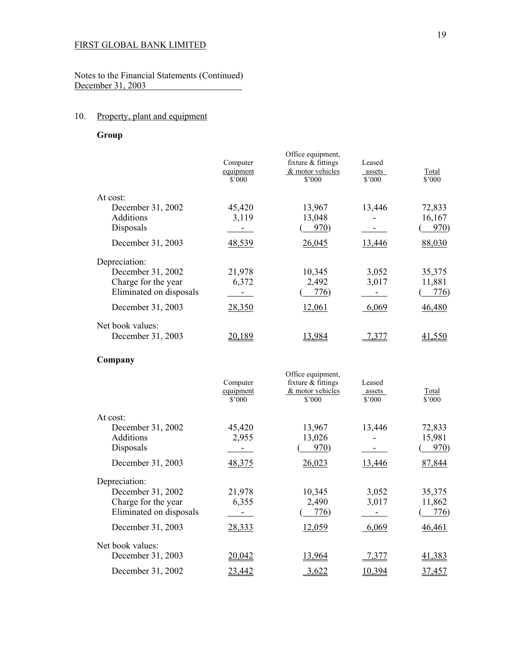Notes to the Financial Statements (Continued) December 31, 2003

# 10. Property, plant and equipment

 **Group** 

|                         | Computer<br>equipment<br>\$'000 | Office equipment,<br>fixture & fittings<br>& motor vehicles<br>\$'000 | Leased<br>assets<br>\$3000 | Total<br>$$^{\circ}000$ |
|-------------------------|---------------------------------|-----------------------------------------------------------------------|----------------------------|-------------------------|
| At cost:                |                                 |                                                                       |                            |                         |
| December 31, 2002       | 45,420                          | 13,967                                                                | 13,446                     | 72,833                  |
| Additions               | 3,119                           | 13,048                                                                |                            | 16,167                  |
| Disposals               | $\sim 100$                      | 970)                                                                  | $\sigma_{\rm{max}}$        | $\frac{970}{2}$         |
| December 31, 2003       | 48,539                          | 26,045                                                                | 13,446                     | 88,030                  |
| Depreciation:           |                                 |                                                                       |                            |                         |
| December 31, 2002       | 21,978                          | 10,345                                                                | 3,052                      | 35,375                  |
| Charge for the year     | 6,372                           | 2,492                                                                 | 3,017                      | 11,881                  |
| Eliminated on disposals |                                 | 776)                                                                  | $\sim 10$                  | (776)                   |
| December 31, 2003       | 28,350                          | 12,061                                                                | 6,069                      | 46,480                  |
| Net book values:        |                                 |                                                                       |                            |                         |
| December 31, 2003       | 20,189                          | 13,984                                                                | 7,377                      | 41,550                  |
| Company                 |                                 |                                                                       |                            |                         |
|                         |                                 | Office equipment,                                                     |                            |                         |
|                         | Computer<br>equipment           | fixture & fittings<br>& motor vehicles                                | Leased<br>assets           | Total                   |
|                         | \$3000                          | $$^{\circ}000$                                                        | \$3000                     | \$'000                  |
| At cost:                |                                 |                                                                       |                            |                         |
| December 31, 2002       | 45,420                          | 13,967                                                                | 13,446                     | 72,833                  |
| Additions               | 2,955                           | 13,026                                                                |                            | 15,981                  |
| Disposals               | $\sim 100$                      | 970)                                                                  | $\sim 100$ m $^{-1}$       | 970)                    |
| December 31, 2003       | 48,375                          | 26,023                                                                | 13,446                     | 87,844                  |
| Depreciation:           |                                 |                                                                       |                            |                         |
| December 31, 2002       | 21,978                          | 10,345                                                                | 3,052                      | 35,375                  |
| Charge for the year     | 6,355                           | 2,490                                                                 | 3,017                      | 11,862                  |
| Eliminated on disposals | $\sim 100$                      | 776)                                                                  | $\sim 100$                 | 776)                    |
| December 31, 2003       | 28,333                          | 12,059                                                                | 6,069                      | 46,461                  |
| Net book values:        |                                 |                                                                       |                            |                         |
| December 31, 2003       | 20,042                          | 13,964                                                                | 7,377                      | 41,383                  |

December 31, 2002 23,442 23,622 10,394 37,457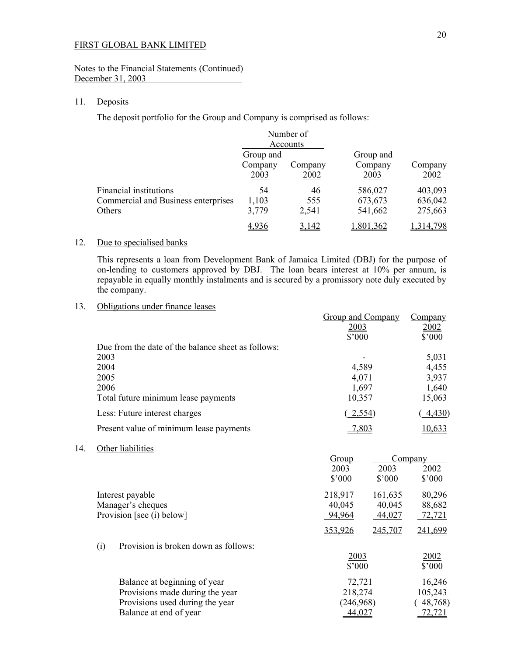### Notes to the Financial Statements (Continued) December 31, 2003

## 11. Deposits

 $14.$ 

The deposit portfolio for the Group and Company is comprised as follows:

|                                     |           | Number of |           |                |
|-------------------------------------|-----------|-----------|-----------|----------------|
|                                     |           | Accounts  |           |                |
|                                     | Group and |           | Group and |                |
|                                     | Company   | Company   | Company   | <u>Company</u> |
|                                     | 2003      | 2002      | 2003      | 2002           |
| Financial institutions              | 54        | 46        | 586,027   | 403,093        |
| Commercial and Business enterprises | 1,103     | 555       | 673,673   | 636,042        |
| Others                              | 3,779     | 2,541     | 541,662   | 275,663        |
|                                     | 4 936     | 3,142     | ,801,362  | ,314,798       |

## 12. Due to specialised banks

 This represents a loan from Development Bank of Jamaica Limited (DBJ) for the purpose of on-lending to customers approved by DBJ. The loan bears interest at 10% per annum, is repayable in equally monthly instalments and is secured by a promissory note duly executed by the company.

## 13. Obligations under finance leases

|     |      |                                                    | <b>Group and Company</b><br>2003<br>\$'000 |                | Company<br>2002<br>\$'000 |
|-----|------|----------------------------------------------------|--------------------------------------------|----------------|---------------------------|
|     |      | Due from the date of the balance sheet as follows: |                                            |                |                           |
|     | 2003 |                                                    |                                            |                | 5,031                     |
|     | 2004 |                                                    | 4,589                                      |                | 4,455                     |
|     | 2005 |                                                    | 4,071                                      |                | 3,937                     |
|     | 2006 | Total future minimum lease payments                | 1,697<br>10,357                            |                | 1,640<br>15,063           |
|     |      | Less: Future interest charges                      | 2,554                                      |                | 4,430                     |
|     |      | Present value of minimum lease payments            | 7,803                                      |                | 10,633                    |
| 14. |      | Other liabilities                                  |                                            |                |                           |
|     |      |                                                    | Group                                      |                | Company                   |
|     |      |                                                    | 2003                                       | 2003           | 2002                      |
|     |      |                                                    | \$'000                                     | $$^{\circ}000$ | \$'000                    |
|     |      | Interest payable                                   | 218,917                                    | 161,635        | 80,296                    |
|     |      | Manager's cheques                                  | 40,045                                     | 40,045         | 88,682                    |
|     |      | Provision [see (i) below]                          | 94,964                                     | 44,027         | 72,721                    |
|     |      |                                                    | 353,926                                    | 245,707        | 241,699                   |
|     | (i)  | Provision is broken down as follows:               |                                            |                |                           |
|     |      |                                                    | 2003                                       |                | 2002                      |
|     |      |                                                    | \$'000                                     |                | \$'000                    |
|     |      | Balance at beginning of year                       | 72,721                                     |                | 16,246                    |
|     |      | Provisions made during the year                    | 218,274                                    |                | 105,243                   |
|     |      | Provisions used during the year                    | (246,968)                                  |                | 48,768)                   |
|     |      | Balance at end of year                             | 44,027                                     |                | 72,721                    |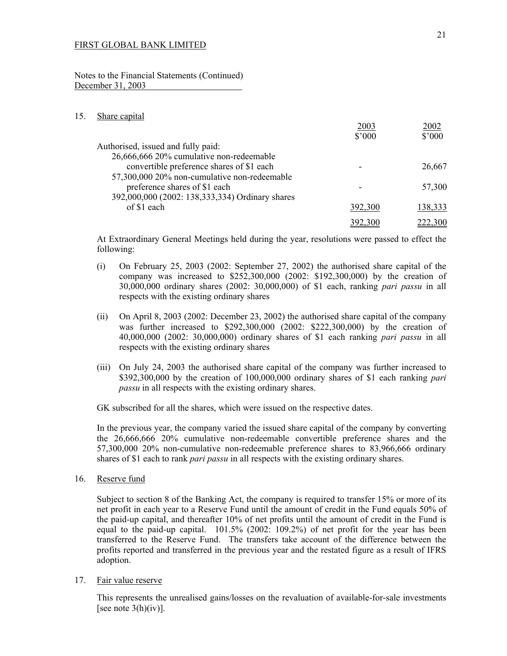Notes to the Financial Statements (Continued) December 31, 2003

#### 15. Share capital

|                                                 | 2003            | 2002            |
|-------------------------------------------------|-----------------|-----------------|
|                                                 | $$^{\prime}000$ | $$^{\prime}000$ |
| Authorised, issued and fully paid:              |                 |                 |
| 26,666,666 20% cumulative non-redeemable        |                 |                 |
| convertible preference shares of \$1 each       |                 | 26,667          |
| 57,300,000 20% non-cumulative non-redeemable    |                 |                 |
| preference shares of \$1 each                   |                 | 57,300          |
| 392,000,000 (2002: 138,333,334) Ordinary shares |                 |                 |
| of \$1 each                                     | 392,300         | 138,333         |
|                                                 | <u>392.300</u>  | 222,300         |
|                                                 |                 |                 |

 At Extraordinary General Meetings held during the year, resolutions were passed to effect the following:

- (i) On February 25, 2003 (2002: September 27, 2002) the authorised share capital of the company was increased to \$252,300,000 (2002: \$192,300,000) by the creation of 30,000,000 ordinary shares (2002: 30,000,000) of \$1 each, ranking *pari passu* in all respects with the existing ordinary shares
- (ii) On April 8, 2003 (2002: December 23, 2002) the authorised share capital of the company was further increased to \$292,300,000 (2002: \$222,300,000) by the creation of 40,000,000 (2002: 30,000,000) ordinary shares of \$1 each ranking *pari passu* in all respects with the existing ordinary shares
- (iii) On July 24, 2003 the authorised share capital of the company was further increased to \$392,300,000 by the creation of 100,000,000 ordinary shares of \$1 each ranking *pari passu* in all respects with the existing ordinary shares.

GK subscribed for all the shares, which were issued on the respective dates.

In the previous year, the company varied the issued share capital of the company by converting the 26,666,666 20% cumulative non-redeemable convertible preference shares and the 57,300,000 20% non-cumulative non-redeemable preference shares to 83,966,666 ordinary shares of \$1 each to rank *pari passu* in all respects with the existing ordinary shares.

16. Reserve fund

 Subject to section 8 of the Banking Act, the company is required to transfer 15% or more of its net profit in each year to a Reserve Fund until the amount of credit in the Fund equals 50% of the paid-up capital, and thereafter 10% of net profits until the amount of credit in the Fund is equal to the paid-up capital. 101.5% (2002: 109.2%) of net profit for the year has been transferred to the Reserve Fund. The transfers take account of the difference between the profits reported and transferred in the previous year and the restated figure as a result of IFRS adoption.

17. Fair value reserve

 This represents the unrealised gains/losses on the revaluation of available-for-sale investments [see note  $3(h)(iv)$ ].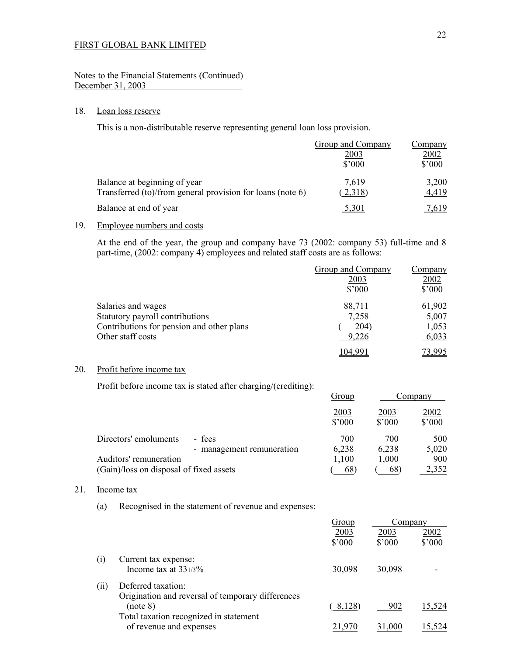## Notes to the Financial Statements (Continued) December 31, 2003

## 18. Loan loss reserve

This is a non-distributable reserve representing general loan loss provision.

|                                                                                            | Group and Company<br>2003<br>$$^{\prime}000$ | <u>Company</u><br>2002<br>$$^{\prime}000$ |
|--------------------------------------------------------------------------------------------|----------------------------------------------|-------------------------------------------|
| Balance at beginning of year<br>Transferred (to)/from general provision for loans (note 6) | 7,619<br>(2,318)                             | 3,200<br>4,419                            |
| Balance at end of year                                                                     | 5,301                                        | 7,619                                     |

## 19. Employee numbers and costs

 At the end of the year, the group and company have 73 (2002: company 53) full-time and 8 part-time, (2002: company 4) employees and related staff costs are as follows:

|                                           | Group and Company | <u>Company</u>  |
|-------------------------------------------|-------------------|-----------------|
|                                           | 2003              | 2002            |
|                                           | $$^{\prime}000$   | $$^{\prime}000$ |
| Salaries and wages                        | 88,711            | 61,902          |
| Statutory payroll contributions           | 7,258             | 5,007           |
| Contributions for pension and other plans | 204)              | 1,053           |
| Other staff costs                         | 9,226             | 6,033           |
|                                           | 104.99            | 73,995          |

## 20. Profit before income tax

Profit before income tax is stated after charging/(crediting):

|                                         |                           | Group                   |                        | Company                 |
|-----------------------------------------|---------------------------|-------------------------|------------------------|-------------------------|
|                                         |                           | 2003<br>$$^{\prime}000$ | 2003<br>$$^{\circ}000$ | 2002<br>$$^{\prime}000$ |
| Directors' emoluments<br>- fees         |                           | 700                     | 700                    | 500                     |
|                                         | - management remuneration | 6,238                   | 6,238                  | 5,020                   |
| Auditors' remuneration                  |                           | 1,100                   | 1,000                  | 900                     |
| (Gain)/loss on disposal of fixed assets |                           | 68                      | $68^\circ$             | <u>2,352</u>            |

## 21. Income tax

(a) Recognised in the statement of revenue and expenses:

| <u>Group</u>    | Company |                 |
|-----------------|---------|-----------------|
| 2003            | 2003    | 2002            |
| $$^{\prime}000$ | \$'000  | $$^{\prime}000$ |
|                 |         |                 |
|                 | 30,098  |                 |
|                 |         |                 |
|                 |         |                 |
| 8,128)          | 902     | 15,524          |
|                 |         |                 |
|                 |         |                 |
|                 | 30,098  | .000            |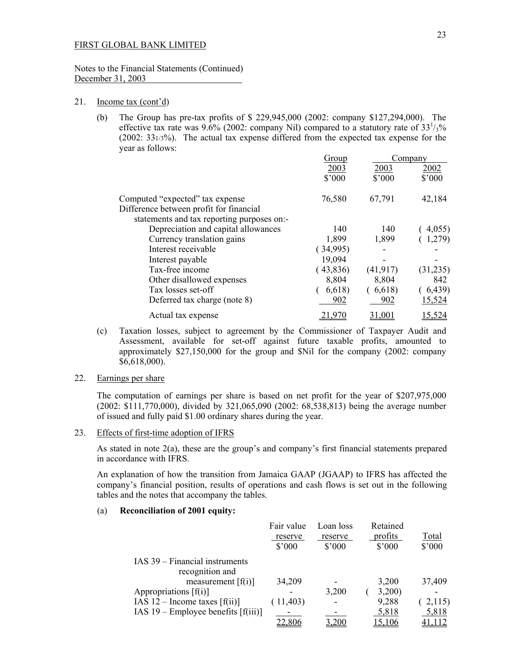#### Notes to the Financial Statements (Continued) December 31, 2003

#### 21. Income tax (cont'd)

 (b) The Group has pre-tax profits of \$ 229,945,000 (2002: company \$127,294,000). The effective tax rate was 9.6% (2002: company Nil) compared to a statutory rate of  $33<sup>1</sup>/3$ % (2002: 331/3%). The actual tax expense differed from the expected tax expense for the year as follows:

|                                            | Group           |           | Company       |
|--------------------------------------------|-----------------|-----------|---------------|
|                                            | 2003            | 2003      | 2002          |
|                                            | $$^{\prime}000$ | \$'000    | \$'000        |
| Computed "expected" tax expense            | 76,580          | 67,791    | 42,184        |
| Difference between profit for financial    |                 |           |               |
| statements and tax reporting purposes on:- |                 |           |               |
| Depreciation and capital allowances        | 140             | 140       | 4,055         |
| Currency translation gains                 | 1,899           | 1,899     | 1,279)        |
| Interest receivable                        | (34,995)        |           |               |
| Interest payable                           | 19,094          |           |               |
| Tax-free income                            | (43,836)        | (41, 917) | (31, 235)     |
| Other disallowed expenses                  | 8,804           | 8,804     | 842           |
| Tax losses set-off                         | 6,618           | (6,618)   | (6, 439)      |
| Deferred tax charge (note 8)               | 902             | 902       | 15,524        |
| Actual tax expense                         | 21,970          | 31,001    | <u>15,524</u> |

 (c) Taxation losses, subject to agreement by the Commissioner of Taxpayer Audit and Assessment, available for set-off against future taxable profits, amounted to approximately \$27,150,000 for the group and \$Nil for the company (2002: company \$6,618,000).

## 22. Earnings per share

 The computation of earnings per share is based on net profit for the year of \$207,975,000 (2002: \$111,770,000), divided by 321,065,090 (2002: 68,538,813) being the average number of issued and fully paid \$1.00 ordinary shares during the year.

## 23. Effects of first-time adoption of IFRS

As stated in note 2(a), these are the group's and company's first financial statements prepared in accordance with IFRS.

An explanation of how the transition from Jamaica GAAP (JGAAP) to IFRS has affected the company's financial position, results of operations and cash flows is set out in the following tables and the notes that accompany the tables.

## (a) **Reconciliation of 2001 equity:**

|                                         | Fair value<br>reserve<br>$$^{\circ}000$ | Loan loss<br>reserve<br>$$^{\prime}000$ | Retained<br>profits<br>$$^{\circ}000$ | <b>Total</b><br>$$^{\prime}000$ |
|-----------------------------------------|-----------------------------------------|-----------------------------------------|---------------------------------------|---------------------------------|
| IAS 39 – Financial instruments          |                                         |                                         |                                       |                                 |
| recognition and                         |                                         |                                         |                                       |                                 |
| measurement $[f(i)]$                    | 34,209                                  |                                         | 3,200                                 | 37,409                          |
| Appropriations $[f(i)]$                 |                                         | 3,200                                   | 3,200                                 |                                 |
| IAS $12$ – Income taxes [f(ii)]         | (11, 403)                               |                                         | 9,288                                 | 2,115                           |
| IAS $19$ – Employee benefits $[f(iii)]$ |                                         |                                         | 5,818                                 | 5,818                           |
|                                         | 22,806                                  | 3,200                                   | <u>15,106</u>                         | 41,112                          |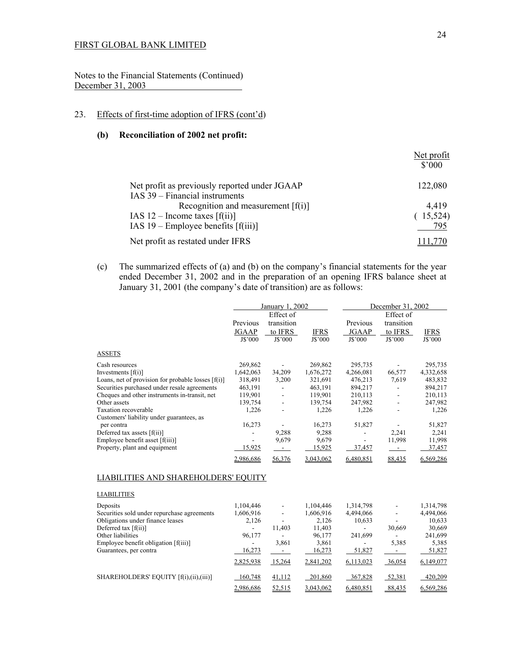Notes to the Financial Statements (Continued) December 31, 2003

## 23. Effects of first-time adoption of IFRS (cont'd)

## **(b) Reconciliation of 2002 net profit:**

|                                                                        | Net profit<br>$$^{\prime}000$ |
|------------------------------------------------------------------------|-------------------------------|
| Net profit as previously reported under JGAAP                          | 122,080                       |
| IAS 39 – Financial instruments<br>Recognition and measurement $[f(i)]$ | 4,419                         |
| IAS $12$ – Income taxes [f(ii)]                                        | (15,524)                      |
| IAS $19$ – Employee benefits $[f(iii)]$                                | 795                           |
| Net profit as restated under IFRS                                      |                               |

(c) The summarized effects of (a) and (b) on the company's financial statements for the year ended December 31, 2002 and in the preparation of an opening IFRS balance sheet at January 31, 2001 (the company's date of transition) are as follows:

|                                                                                 | January 1, 2002          |                                    | December 31, 2002  |                          |                                    |                                                                                                  |
|---------------------------------------------------------------------------------|--------------------------|------------------------------------|--------------------|--------------------------|------------------------------------|--------------------------------------------------------------------------------------------------|
|                                                                                 | Previous<br><b>JGAAP</b> | Effect of<br>transition<br>to IFRS | <b>IFRS</b>        | Previous<br>JGAAP        | Effect of<br>transition<br>to IFRS | <b>IFRS</b>                                                                                      |
|                                                                                 | J\$'000                  | J\$'000                            | J\$'000            | J\$'000                  | J\$'000                            | J\$'000                                                                                          |
| <b>ASSETS</b>                                                                   |                          |                                    |                    |                          |                                    |                                                                                                  |
| Cash resources                                                                  | 269,862                  | $\overline{\phantom{a}}$           | 269,862            | 295,735                  |                                    | 295,735                                                                                          |
| Investments $[f(i)]$                                                            | 1,642,063                | 34,209                             | 1,676,272          | 4,266,081                | 66,577                             | 4,332,658                                                                                        |
| Loans, net of provision for probable losses [f(i)]                              | 318,491                  | 3,200                              | 321,691            | 476,213                  | 7,619                              | 483,832                                                                                          |
| Securities purchased under resale agreements                                    | 463,191                  | $\qquad \qquad \blacksquare$       | 463,191            | 894,217                  | $\overline{\phantom{a}}$           | 894,217                                                                                          |
| Cheques and other instruments in-transit, net                                   | 119,901                  |                                    | 119,901            | 210,113                  |                                    | 210,113                                                                                          |
| Other assets                                                                    | 139,754                  | $\overline{\phantom{a}}$           | 139,754            | 247,982                  | $\blacksquare$                     | 247,982                                                                                          |
| Taxation recoverable                                                            | 1,226                    |                                    | 1,226              | 1,226                    |                                    | 1,226                                                                                            |
| Customers' liability under guarantees, as                                       |                          |                                    |                    |                          |                                    |                                                                                                  |
| per contra                                                                      | 16,273                   |                                    | 16,273             | 51,827                   |                                    | 51,827                                                                                           |
| Deferred tax assets [f(ii)]                                                     | $\overline{\phantom{a}}$ | 9,288                              | 9,288              | $\overline{\phantom{a}}$ | 2,241                              | 2,241                                                                                            |
| Employee benefit asset [f(iii)]                                                 | ÷.                       | 9,679                              | 9,679              | $\blacksquare$           | 11,998                             | 11,998                                                                                           |
| Property, plant and equipment                                                   | 15,925                   | $\sim 10$                          | 15,925             | 37,457                   | $\sim 100$                         | 37,457                                                                                           |
|                                                                                 | 2,986,686                | 56,376                             | 3,043,062          | 6,480,851                | 88,435                             | 6,569,286                                                                                        |
|                                                                                 |                          |                                    |                    |                          |                                    |                                                                                                  |
|                                                                                 |                          |                                    |                    |                          |                                    |                                                                                                  |
|                                                                                 | 1,104,446                |                                    | 1,104,446          | 1,314,798                |                                    |                                                                                                  |
| LIABILITIES AND SHAREHOLDERS' EQUITY<br><b>LIABILITIES</b><br>Deposits          |                          | ä,                                 |                    | 4,494,066                |                                    |                                                                                                  |
| Securities sold under repurchase agreements<br>Obligations under finance leases | 1,606,916<br>2,126       |                                    | 1,606,916<br>2,126 | 10,633                   |                                    |                                                                                                  |
| Deferred tax [f(ii)]                                                            | $\sim$                   | 11,403                             | 11,403             | $\overline{a}$           | 30,669                             |                                                                                                  |
| Other liabilities                                                               | 96,177                   | ÷.                                 | 96,177             | 241,699                  | $\overline{a}$                     |                                                                                                  |
|                                                                                 | ÷.                       |                                    |                    | $\overline{\phantom{a}}$ |                                    |                                                                                                  |
|                                                                                 | 16,273                   | 3,861<br>$\sim 100$                | 3,861<br>16,273    | 51,827                   | 5,385<br>$\sim 100$                |                                                                                                  |
| Employee benefit obligation [f(iii)]<br>Guarantees, per contra                  | 2,825,938                | 15,264                             | 2,841,202          | 6,113,023                | 36,054                             |                                                                                                  |
| SHAREHOLDERS' EQUITY [f(i),(ii),(iii)]                                          | 160,748                  | 41,112                             | 201,860            | 367,828                  | 52,381                             | 1,314,798<br>4,494,066<br>10,633<br>30,669<br>241,699<br>5,385<br>51,827<br>6,149,077<br>420,209 |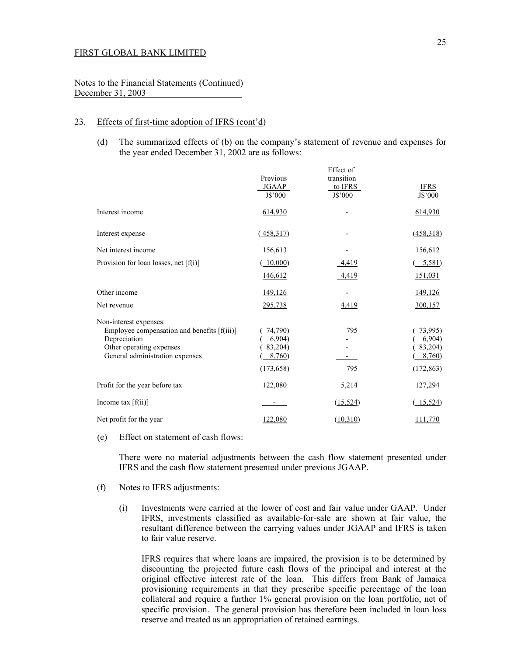Notes to the Financial Statements (Continued) December 31, 2003

## 23. Effects of first-time adoption of IFRS (cont'd)

(d) The summarized effects of (b) on the company's statement of revenue and expenses for the year ended December 31, 2002 are as follows:

|                                                                                                                                                      | Previous<br>JGAAP<br>J\$'000                        | Effect of<br>transition<br>to IFRS<br>J\$'000 | <b>IFRS</b><br>J\$'000                              |
|------------------------------------------------------------------------------------------------------------------------------------------------------|-----------------------------------------------------|-----------------------------------------------|-----------------------------------------------------|
| Interest income                                                                                                                                      | 614,930                                             |                                               | 614,930                                             |
| Interest expense                                                                                                                                     | (458,317)                                           |                                               | (458,318)                                           |
| Net interest income                                                                                                                                  | 156,613                                             |                                               | 156,612                                             |
| Provision for loan losses, net $[f(i)]$                                                                                                              | (10,000)                                            | 4,419                                         | $(-5,581)$                                          |
|                                                                                                                                                      | 146,612                                             | 4,419                                         | 151,031                                             |
| Other income                                                                                                                                         | 149,126                                             |                                               | <u>149,126</u>                                      |
| Net revenue                                                                                                                                          | 295,738                                             | 4,419                                         | 300,157                                             |
| Non-interest expenses:<br>Employee compensation and benefits [f(iii)]<br>Depreciation<br>Other operating expenses<br>General administration expenses | 74,790)<br>6,904)<br>83,204)<br>8,760<br>(173, 658) | 795<br>795                                    | 73,995)<br>6,904)<br>83,204)<br>8,760<br>(172, 863) |
| Profit for the year before tax                                                                                                                       | 122,080                                             | 5,214                                         | 127,294                                             |
| Income tax $[f(ii)]$                                                                                                                                 |                                                     | (15,524)                                      | (15,524)                                            |
| Net profit for the year                                                                                                                              | 122,080                                             | (10,310)                                      | 111,770                                             |

(e) Effect on statement of cash flows:

 There were no material adjustments between the cash flow statement presented under IFRS and the cash flow statement presented under previous JGAAP.

- (f) Notes to IFRS adjustments:
	- (i) Investments were carried at the lower of cost and fair value under GAAP. Under IFRS, investments classified as available-for-sale are shown at fair value, the resultant difference between the carrying values under JGAAP and IFRS is taken to fair value reserve.

 IFRS requires that where loans are impaired, the provision is to be determined by discounting the projected future cash flows of the principal and interest at the original effective interest rate of the loan. This differs from Bank of Jamaica provisioning requirements in that they prescribe specific percentage of the loan collateral and require a further 1% general provision on the loan portfolio, net of specific provision. The general provision has therefore been included in loan loss reserve and treated as an appropriation of retained earnings.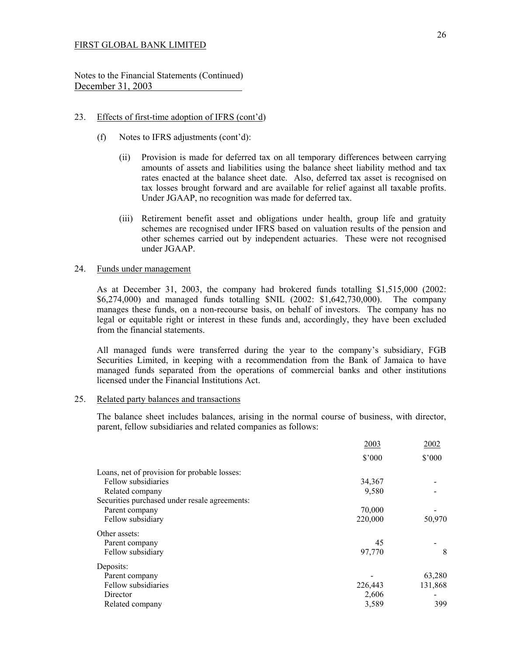Notes to the Financial Statements (Continued) December 31, 2003

#### 23. Effects of first-time adoption of IFRS (cont'd)

- (f) Notes to IFRS adjustments (cont'd):
	- (ii) Provision is made for deferred tax on all temporary differences between carrying amounts of assets and liabilities using the balance sheet liability method and tax rates enacted at the balance sheet date. Also, deferred tax asset is recognised on tax losses brought forward and are available for relief against all taxable profits. Under JGAAP, no recognition was made for deferred tax.
	- (iii) Retirement benefit asset and obligations under health, group life and gratuity schemes are recognised under IFRS based on valuation results of the pension and other schemes carried out by independent actuaries. These were not recognised under JGAAP.

#### 24. Funds under management

As at December 31, 2003, the company had brokered funds totalling \$1,515,000 (2002: \$6,274,000) and managed funds totalling \$NIL (2002: \$1,642,730,000). The company manages these funds, on a non-recourse basis, on behalf of investors. The company has no legal or equitable right or interest in these funds and, accordingly, they have been excluded from the financial statements.

All managed funds were transferred during the year to the company's subsidiary, FGB Securities Limited, in keeping with a recommendation from the Bank of Jamaica to have managed funds separated from the operations of commercial banks and other institutions licensed under the Financial Institutions Act.

#### 25. Related party balances and transactions

The balance sheet includes balances, arising in the normal course of business, with director, parent, fellow subsidiaries and related companies as follows:

|                                               | 2003           | 2002           |
|-----------------------------------------------|----------------|----------------|
|                                               | $$^{\circ}000$ | $$^{\circ}000$ |
| Loans, net of provision for probable losses:  |                |                |
| Fellow subsidiaries                           | 34,367         |                |
| Related company                               | 9,580          |                |
| Securities purchased under resale agreements: |                |                |
| Parent company                                | 70,000         |                |
| Fellow subsidiary                             | 220,000        | 50,970         |
| Other assets:                                 |                |                |
| Parent company                                | 45             |                |
| Fellow subsidiary                             | 97,770         | 8              |
| Deposits:                                     |                |                |
| Parent company                                |                | 63,280         |
| Fellow subsidiaries                           | 226,443        | 131,868        |
| Director                                      | 2,606          |                |
| Related company                               | 3,589          | 399            |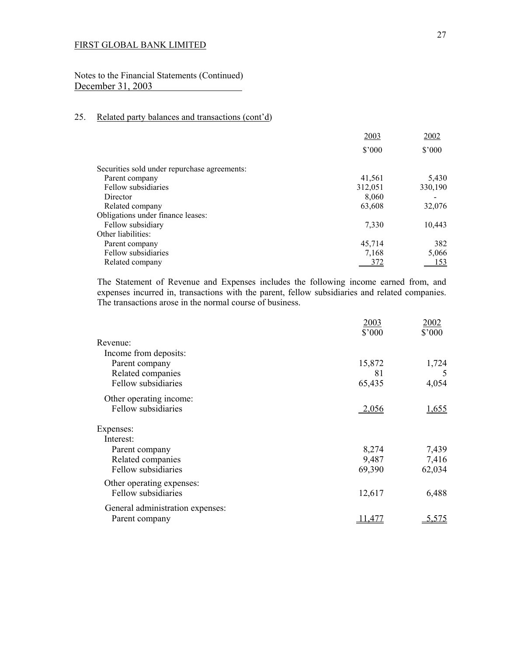Notes to the Financial Statements (Continued) December 31, 2003

# 25. Related party balances and transactions (cont'd)

|                                              | 2003    | 2002    |
|----------------------------------------------|---------|---------|
|                                              | \$3000  | \$3000  |
| Securities sold under repurchase agreements: |         |         |
| Parent company                               | 41,561  | 5,430   |
| Fellow subsidiaries                          | 312,051 | 330,190 |
| Director                                     | 8,060   |         |
| Related company                              | 63,608  | 32,076  |
| Obligations under finance leases:            |         |         |
| Fellow subsidiary                            | 7,330   | 10,443  |
| Other liabilities:                           |         |         |
| Parent company                               | 45,714  | 382     |
| Fellow subsidiaries                          | 7,168   | 5,066   |
| Related company                              | 372     | 153     |
|                                              |         |         |

 The Statement of Revenue and Expenses includes the following income earned from, and expenses incurred in, transactions with the parent, fellow subsidiaries and related companies. The transactions arose in the normal course of business.

|                                  | 2003<br>\$'000 | 2002<br>\$'000 |
|----------------------------------|----------------|----------------|
| Revenue:                         |                |                |
| Income from deposits:            |                |                |
| Parent company                   | 15,872         | 1,724          |
| Related companies                | 81             | 5              |
| Fellow subsidiaries              | 65,435         | 4,054          |
| Other operating income:          |                |                |
| Fellow subsidiaries              | <u>2,056</u>   | 1,655          |
| Expenses:                        |                |                |
| Interest:                        |                |                |
| Parent company                   | 8,274          | 7,439          |
| Related companies                | 9,487          | 7,416          |
| Fellow subsidiaries              | 69,390         | 62,034         |
| Other operating expenses:        |                |                |
| Fellow subsidiaries              | 12,617         | 6,488          |
| General administration expenses: |                |                |
| Parent company                   |                | 5,575          |
|                                  |                |                |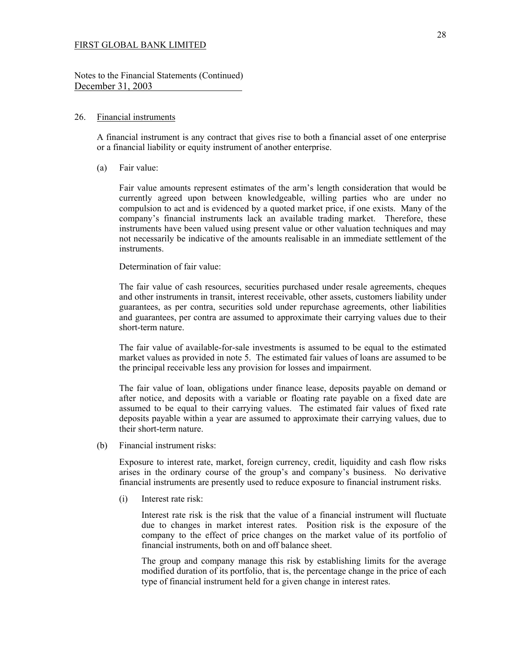Notes to the Financial Statements (Continued) December 31, 2003

#### 26. Financial instruments

 A financial instrument is any contract that gives rise to both a financial asset of one enterprise or a financial liability or equity instrument of another enterprise.

(a) Fair value:

Fair value amounts represent estimates of the arm's length consideration that would be currently agreed upon between knowledgeable, willing parties who are under no compulsion to act and is evidenced by a quoted market price, if one exists. Many of the company's financial instruments lack an available trading market. Therefore, these instruments have been valued using present value or other valuation techniques and may not necessarily be indicative of the amounts realisable in an immediate settlement of the instruments.

Determination of fair value:

The fair value of cash resources, securities purchased under resale agreements, cheques and other instruments in transit, interest receivable, other assets, customers liability under guarantees, as per contra, securities sold under repurchase agreements, other liabilities and guarantees, per contra are assumed to approximate their carrying values due to their short-term nature.

The fair value of available-for-sale investments is assumed to be equal to the estimated market values as provided in note 5. The estimated fair values of loans are assumed to be the principal receivable less any provision for losses and impairment.

The fair value of loan, obligations under finance lease, deposits payable on demand or after notice, and deposits with a variable or floating rate payable on a fixed date are assumed to be equal to their carrying values. The estimated fair values of fixed rate deposits payable within a year are assumed to approximate their carrying values, due to their short-term nature.

(b) Financial instrument risks:

Exposure to interest rate, market, foreign currency, credit, liquidity and cash flow risks arises in the ordinary course of the group's and company's business. No derivative financial instruments are presently used to reduce exposure to financial instrument risks.

(i) Interest rate risk:

Interest rate risk is the risk that the value of a financial instrument will fluctuate due to changes in market interest rates. Position risk is the exposure of the company to the effect of price changes on the market value of its portfolio of financial instruments, both on and off balance sheet.

The group and company manage this risk by establishing limits for the average modified duration of its portfolio, that is, the percentage change in the price of each type of financial instrument held for a given change in interest rates.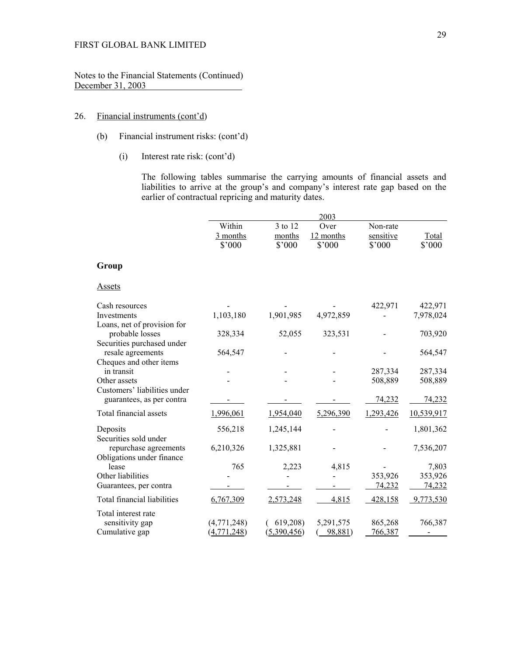Notes to the Financial Statements (Continued) December 31, 2003

# 26. Financial instruments (cont'd)

- (b) Financial instrument risks: (cont'd)
	- (i) Interest rate risk: (cont'd)

The following tables summarise the carrying amounts of financial assets and liabilities to arrive at the group's and company's interest rate gap based on the earlier of contractual repricing and maturity dates.

|                                                                              |                              |                             | 2003                        |                                 |                 |
|------------------------------------------------------------------------------|------------------------------|-----------------------------|-----------------------------|---------------------------------|-----------------|
|                                                                              | Within<br>3 months<br>\$'000 | 3 to 12<br>months<br>\$'000 | Over<br>12 months<br>\$'000 | Non-rate<br>sensitive<br>\$'000 | Total<br>\$'000 |
| Group                                                                        |                              |                             |                             |                                 |                 |
| Assets                                                                       |                              |                             |                             |                                 |                 |
| Cash resources                                                               |                              |                             |                             | 422,971                         | 422,971         |
| <b>Investments</b>                                                           | 1,103,180                    | 1,901,985                   | 4,972,859                   |                                 | 7,978,024       |
| Loans, net of provision for<br>probable losses<br>Securities purchased under | 328,334                      | 52,055                      | 323,531                     |                                 | 703,920         |
| resale agreements                                                            | 564,547                      |                             |                             |                                 | 564,547         |
| Cheques and other items<br>in transit                                        |                              |                             |                             | 287,334                         | 287,334         |
| Other assets                                                                 |                              |                             |                             | 508,889                         | 508,889         |
| Customers' liabilities under<br>guarantees, as per contra                    |                              |                             |                             | 74,232                          | 74,232          |
| Total financial assets                                                       | 1,996,061                    | 1,954,040                   | 5,296,390                   | 1,293,426                       | 10,539,917      |
| Deposits<br>Securities sold under                                            | 556,218                      | 1,245,144                   |                             |                                 | 1,801,362       |
| repurchase agreements<br>Obligations under finance                           | 6,210,326                    | 1,325,881                   |                             |                                 | 7,536,207       |
| lease                                                                        | 765                          | 2,223                       | 4,815                       |                                 | 7,803           |
| Other liabilities                                                            |                              |                             |                             | 353,926                         | 353,926         |
| Guarantees, per contra                                                       |                              |                             |                             | 74,232                          | 74,232          |
| Total financial liabilities                                                  | 6,767,309                    | 2,573,248                   | 4,815                       | 428,158                         | 9,773,530       |
| Total interest rate                                                          |                              |                             |                             |                                 |                 |
| sensitivity gap                                                              | (4,771,248)                  | 619,208)                    | 5,291,575                   | 865,268                         | 766,387         |
| Cumulative gap                                                               | (4, 771, 248)                | (5,390,456)                 | 98,881)                     | 766,387                         |                 |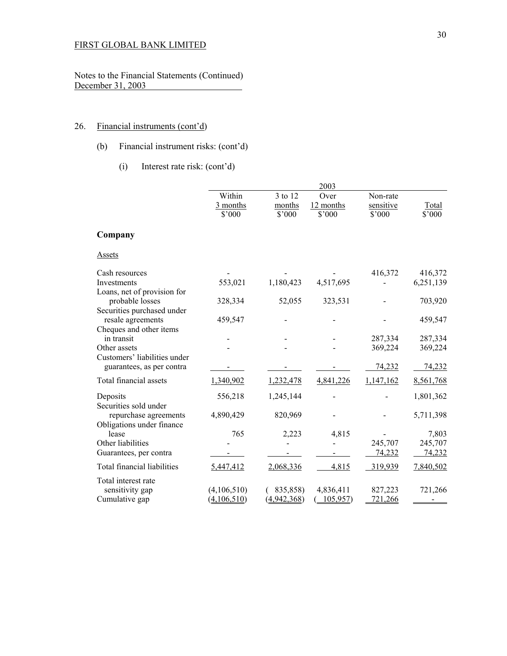Notes to the Financial Statements (Continued) December 31, 2003 ÷.

# 26. Financial instruments (cont'd)

- (b) Financial instrument risks: (cont'd)
	- (i) Interest rate risk: (cont'd)

|                                                 |                |             | 2003      |                |           |
|-------------------------------------------------|----------------|-------------|-----------|----------------|-----------|
|                                                 | Within         | 3 to 12     | Over      | Non-rate       |           |
|                                                 | 3 months       | months      | 12 months | sensitive      | Total     |
|                                                 | $$^{\circ}000$ | \$'000      | \$'000    | $$^{\circ}000$ | \$'000    |
| Company                                         |                |             |           |                |           |
| <b>Assets</b>                                   |                |             |           |                |           |
| Cash resources                                  |                |             |           | 416,372        | 416,372   |
| Investments<br>Loans, net of provision for      | 553,021        | 1,180,423   | 4,517,695 |                | 6,251,139 |
| probable losses                                 | 328,334        | 52,055      | 323,531   |                | 703,920   |
| Securities purchased under<br>resale agreements | 459,547        |             |           |                | 459,547   |
| Cheques and other items                         |                |             |           |                |           |
| in transit                                      |                |             |           | 287,334        | 287,334   |
| Other assets<br>Customers' liabilities under    |                |             |           | 369,224        | 369,224   |
| guarantees, as per contra                       |                |             |           | 74,232         | 74,232    |
| Total financial assets                          | 1,340,902      | 1,232,478   | 4,841,226 | 1,147,162      | 8,561,768 |
| Deposits                                        | 556,218        | 1,245,144   |           |                | 1,801,362 |
| Securities sold under<br>repurchase agreements  | 4,890,429      | 820,969     |           |                | 5,711,398 |
| Obligations under finance                       |                |             |           |                |           |
| lease                                           | 765            | 2,223       | 4,815     |                | 7,803     |
| Other liabilities                               |                |             |           | 245,707        | 245,707   |
| Guarantees, per contra                          |                |             |           | 74,232         | 74,232    |
| <b>Total financial liabilities</b>              | 5,447,412      | 2,068,336   | 4,815     | 319,939        | 7,840,502 |
| Total interest rate                             |                |             |           |                |           |
| sensitivity gap                                 | (4,106,510)    | 835,858)    | 4,836,411 | 827,223        | 721,266   |
| Cumulative gap                                  | (4,106,510)    | (4,942,368) | 105,957   | 721,266        |           |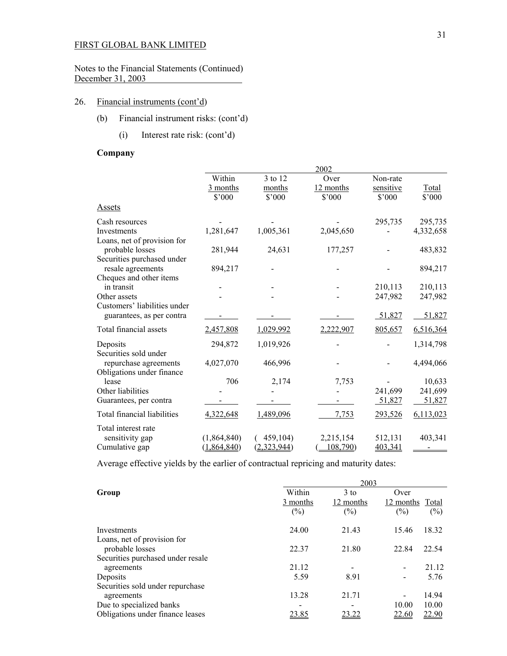Notes to the Financial Statements (Continued) December 31, 2003

## 26. Financial instruments (cont'd)

- (b) Financial instrument risks: (cont'd)
	- (i) Interest rate risk: (cont'd)

# **Company**

|                                                                             |                                      |                                     | 2002                                |                                 |                 |
|-----------------------------------------------------------------------------|--------------------------------------|-------------------------------------|-------------------------------------|---------------------------------|-----------------|
|                                                                             | Within<br>3 months<br>$$^{\circ}000$ | 3 to 12<br>months<br>$$^{\circ}000$ | Over<br>12 months<br>$$^{\circ}000$ | Non-rate<br>sensitive<br>\$'000 | Total<br>\$'000 |
| <b>Assets</b>                                                               |                                      |                                     |                                     |                                 |                 |
| Cash resources                                                              |                                      |                                     |                                     | 295,735                         | 295,735         |
| Investments                                                                 | 1,281,647                            | 1,005,361                           | 2,045,650                           |                                 | 4,332,658       |
| Loans, net of provision for                                                 |                                      |                                     |                                     |                                 |                 |
| probable losses                                                             | 281,944                              | 24,631                              | 177,257                             |                                 | 483,832         |
| Securities purchased under<br>resale agreements                             | 894,217                              |                                     |                                     |                                 | 894,217         |
| Cheques and other items<br>in transit                                       |                                      |                                     |                                     | 210,113                         | 210,113         |
| Other assets                                                                |                                      |                                     |                                     | 247,982                         | 247,982         |
| Customers' liabilities under                                                |                                      |                                     |                                     |                                 |                 |
| guarantees, as per contra                                                   |                                      |                                     |                                     | 51,827                          | 51,827          |
| Total financial assets                                                      | 2,457,808                            | 1,029,992                           | 2,222,907                           | 805,657                         | 6,516,364       |
| Deposits                                                                    | 294,872                              | 1,019,926                           |                                     |                                 | 1,314,798       |
| Securities sold under<br>repurchase agreements<br>Obligations under finance | 4,027,070                            | 466,996                             |                                     |                                 | 4,494,066       |
| lease                                                                       | 706                                  | 2,174                               | 7,753                               |                                 | 10,633          |
| Other liabilities                                                           |                                      |                                     |                                     | 241,699                         | 241,699         |
| Guarantees, per contra                                                      |                                      |                                     |                                     | 51,827                          | 51,827          |
| Total financial liabilities                                                 | 4,322,648                            | 1,489,096                           | 7,753                               | 293,526                         | 6,113,023       |
| Total interest rate                                                         |                                      |                                     |                                     |                                 |                 |
| sensitivity gap                                                             | (1,864,840)                          | 459,104)                            | 2,215,154                           | 512,131                         | 403,341         |
| Cumulative gap                                                              | (1,864,840)                          | (2,323,944)                         | 108,790                             | 403,341                         |                 |

Average effective yields by the earlier of contractual repricing and maturity dates:

|                                                 |                              | 2003                          |                                   |       |
|-------------------------------------------------|------------------------------|-------------------------------|-----------------------------------|-------|
| Group                                           | Within<br>3 months<br>$(\%)$ | $3$ to<br>12 months<br>$(\%)$ | Over<br>12 months Total<br>$(\%)$ | (%)   |
| Investments                                     | 24.00                        | 21.43                         | 15.46                             | 18.32 |
| Loans, net of provision for<br>probable losses  | 22.37                        | 21.80                         | 22.84                             | 22.54 |
| Securities purchased under resale<br>agreements | 21.12                        |                               |                                   | 21.12 |
| Deposits                                        | 5.59                         | 8.91                          |                                   | 5.76  |
| Securities sold under repurchase<br>agreements  | 13.28                        | 21.71                         |                                   | 14.94 |
| Due to specialized banks                        |                              |                               | 10.00                             | 10.00 |
| Obligations under finance leases                | 23.85                        |                               | 22.60                             | 22.90 |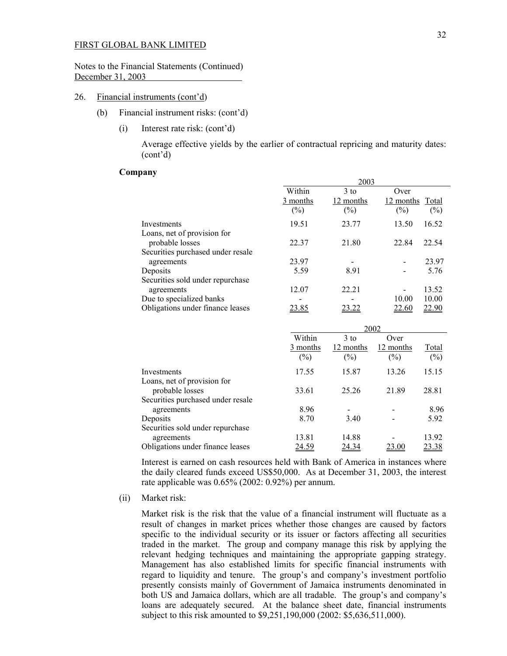#### Notes to the Financial Statements (Continued) December 31, 2003

#### 26. Financial instruments (cont'd)

- (b) Financial instrument risks: (cont'd)
	- (i) Interest rate risk: (cont'd)

 Average effective yields by the earlier of contractual repricing and maturity dates: (cont'd)

#### **Company**

|                                   |          | 2003      |                              |
|-----------------------------------|----------|-----------|------------------------------|
|                                   | Within   | $3$ to    | Over                         |
|                                   | 3 months | 12 months | 12 months<br>Total           |
|                                   | $(\%)$   | $(\%)$    | $(\%)$<br>(%)                |
| Investments                       | 19.51    | 23.77     | 16.52<br>13.50               |
| Loans, net of provision for       |          |           |                              |
| probable losses                   | 22.37    | 21.80     | 22.54<br>22.84               |
| Securities purchased under resale |          |           |                              |
| agreements                        | 23.97    |           | 23.97                        |
| Deposits                          | 5.59     | 8.91      | 5.76                         |
| Securities sold under repurchase  |          |           |                              |
| agreements                        | 12.07    | 22.21     | 13.52                        |
| Due to specialized banks          |          |           | 10.00<br>10.00               |
| Obligations under finance leases  | 23.85    | 23.22     | <u>22.60</u><br><u>22.90</u> |
|                                   |          |           |                              |

|                                                                                     |                           |                               | 2002                        |                        |
|-------------------------------------------------------------------------------------|---------------------------|-------------------------------|-----------------------------|------------------------|
|                                                                                     | Within<br>3 months<br>(%) | $3$ to<br>12 months<br>$(\%)$ | Over<br>12 months<br>$(\%)$ | <b>Total</b><br>$(\%)$ |
| Investments                                                                         | 17.55                     | 15.87                         | 13.26                       | 15.15                  |
| Loans, net of provision for<br>probable losses<br>Securities purchased under resale | 33.61                     | 25.26                         | 21.89                       | 28.81                  |
| agreements                                                                          | 8.96                      |                               |                             | 8.96                   |
| Deposits                                                                            | 8.70                      | 3.40                          |                             | 5.92                   |
| Securities sold under repurchase<br>agreements                                      | 13.81                     | 14.88                         |                             | 13.92                  |
| Obligations under finance leases                                                    | <u>24.59</u>              | 24.34                         | 23.00                       | <u>23.38</u>           |

Interest is earned on cash resources held with Bank of America in instances where the daily cleared funds exceed US\$50,000. As at December 31, 2003, the interest rate applicable was 0.65% (2002: 0.92%) per annum.

(ii) Market risk:

Market risk is the risk that the value of a financial instrument will fluctuate as a result of changes in market prices whether those changes are caused by factors specific to the individual security or its issuer or factors affecting all securities traded in the market. The group and company manage this risk by applying the relevant hedging techniques and maintaining the appropriate gapping strategy. Management has also established limits for specific financial instruments with regard to liquidity and tenure. The group's and company's investment portfolio presently consists mainly of Government of Jamaica instruments denominated in both US and Jamaica dollars, which are all tradable. The group's and company's loans are adequately secured. At the balance sheet date, financial instruments subject to this risk amounted to \$9,251,190,000 (2002: \$5,636,511,000).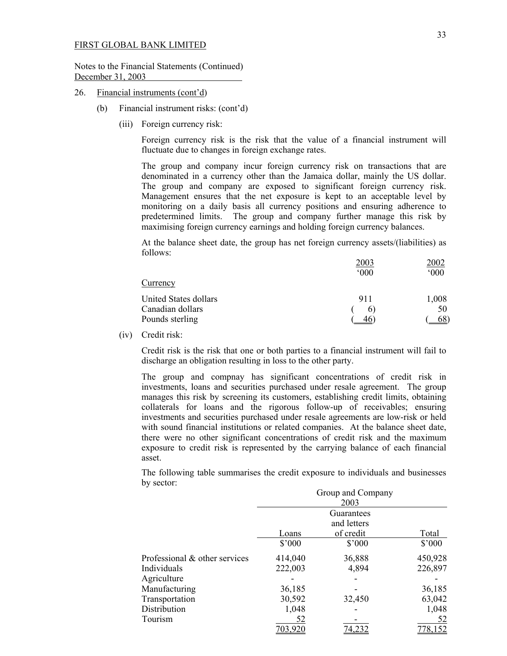Notes to the Financial Statements (Continued) December 31, 2003

- 26. Financial instruments (cont'd)
	- (b) Financial instrument risks: (cont'd)
		- (iii) Foreign currency risk:

 Foreign currency risk is the risk that the value of a financial instrument will fluctuate due to changes in foreign exchange rates.

The group and company incur foreign currency risk on transactions that are denominated in a currency other than the Jamaica dollar, mainly the US dollar. The group and company are exposed to significant foreign currency risk. Management ensures that the net exposure is kept to an acceptable level by monitoring on a daily basis all currency positions and ensuring adherence to predetermined limits. The group and company further manage this risk by maximising foreign currency earnings and holding foreign currency balances.

At the balance sheet date, the group has net foreign currency assets/(liabilities) as follows:

|                       | 2003           | 2002  |
|-----------------------|----------------|-------|
|                       | 000            | 000   |
| Currency              |                |       |
| United States dollars | 911            | 1,008 |
| Canadian dollars      | $\mathfrak{b}$ | 50    |
| Pounds sterling       | $46^{\circ}$   | 68    |

(iv) Credit risk:

 Credit risk is the risk that one or both parties to a financial instrument will fail to discharge an obligation resulting in loss to the other party.

 The group and compnay has significant concentrations of credit risk in investments, loans and securities purchased under resale agreement. The group manages this risk by screening its customers, establishing credit limits, obtaining collaterals for loans and the rigorous follow-up of receivables; ensuring investments and securities purchased under resale agreements are low-risk or held with sound financial institutions or related companies. At the balance sheet date, there were no other significant concentrations of credit risk and the maximum exposure to credit risk is represented by the carrying balance of each financial asset.

The following table summarises the credit exposure to individuals and businesses by sector:

|                               |                | Group and Company |                 |
|-------------------------------|----------------|-------------------|-----------------|
|                               |                | 2003              |                 |
|                               |                | Guarantees        |                 |
|                               |                | and letters       |                 |
|                               | Loans          | of credit         | Total           |
|                               | $$^{\circ}000$ | $$^{\prime}000$   | $$^{\prime}000$ |
| Professional & other services | 414,040        | 36,888            | 450,928         |
| Individuals                   | 222,003        | 4,894             | 226,897         |
| Agriculture                   |                |                   |                 |
| Manufacturing                 | 36,185         |                   | 36,185          |
| Transportation                | 30,592         | 32,450            | 63,042          |
| Distribution                  | 1,048          |                   | 1,048           |
| Tourism                       | 52             |                   | 52              |
|                               | 703,920        | 74,232            | 778,152         |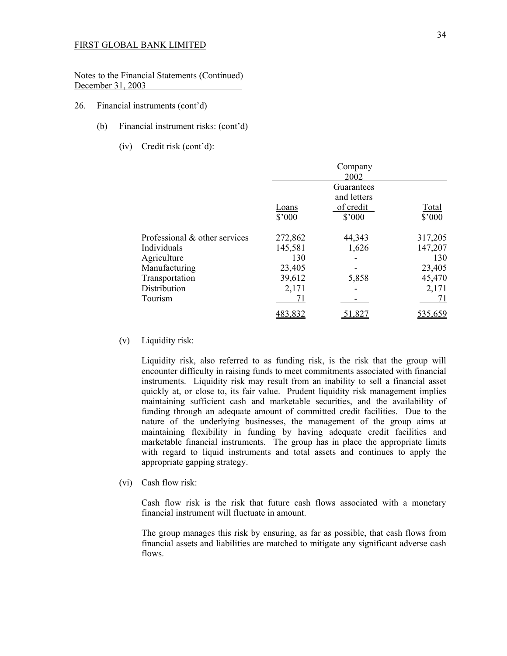Notes to the Financial Statements (Continued) December 31, 2003

#### 26. Financial instruments (cont'd)

- (b) Financial instrument risks: (cont'd)
	- (iv) Credit risk (cont'd):

|                               |                 | Company<br>2002             |                 |
|-------------------------------|-----------------|-----------------------------|-----------------|
|                               |                 | Guarantees<br>and letters   |                 |
|                               | Loans<br>\$'000 | of credit<br>$$^{\circ}000$ | Total<br>\$'000 |
| Professional & other services | 272,862         | 44,343                      | 317,205         |
| Individuals                   | 145,581         | 1,626                       | 147,207         |
| Agriculture                   | 130             |                             | 130             |
| Manufacturing                 | 23,405          |                             | 23,405          |
| Transportation                | 39,612          | 5,858                       | 45,470          |
| Distribution                  | 2,171           |                             | 2,171           |
| Tourism                       |                 |                             | 71              |
|                               |                 | 1,82                        | 535.659         |

(v) Liquidity risk:

Liquidity risk, also referred to as funding risk, is the risk that the group will encounter difficulty in raising funds to meet commitments associated with financial instruments. Liquidity risk may result from an inability to sell a financial asset quickly at, or close to, its fair value. Prudent liquidity risk management implies maintaining sufficient cash and marketable securities, and the availability of funding through an adequate amount of committed credit facilities. Due to the nature of the underlying businesses, the management of the group aims at maintaining flexibility in funding by having adequate credit facilities and marketable financial instruments. The group has in place the appropriate limits with regard to liquid instruments and total assets and continues to apply the appropriate gapping strategy.

(vi) Cash flow risk:

Cash flow risk is the risk that future cash flows associated with a monetary financial instrument will fluctuate in amount.

The group manages this risk by ensuring, as far as possible, that cash flows from financial assets and liabilities are matched to mitigate any significant adverse cash flows.